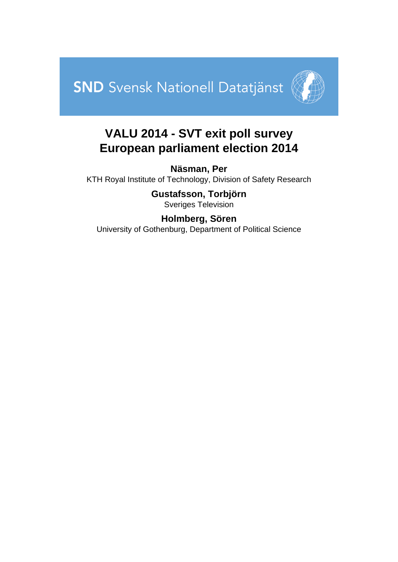



## **VALU 2014 - SVT exit poll survey European parliament election 2014**

**Näsman, Per** KTH Royal Institute of Technology, Division of Safety Research

> **Gustafsson, Torbjörn** Sveriges Television

### **Holmberg, Sören** University of Gothenburg, Department of Political Science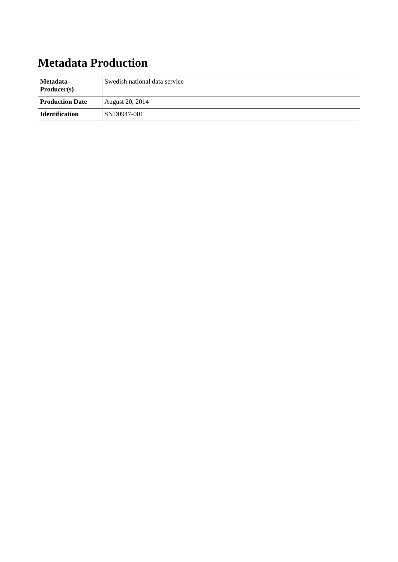# **Metadata Production**

| Metadata<br>Swedish national data service<br>$\textbf{Product}(s)$ |                 |
|--------------------------------------------------------------------|-----------------|
| <b>Production Date</b>                                             | August 20, 2014 |
| <b>Identification</b>                                              | SND0947-001     |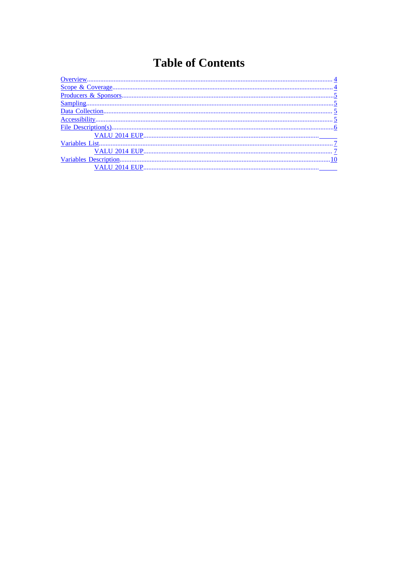# **Table of Contents**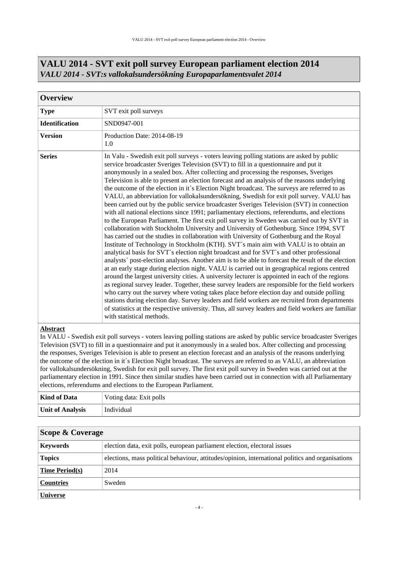<span id="page-3-0"></span>

| <b>Overview</b>       |                                                                                                                                                                                                                                                                                                                                                                                                                                                                                                                                                                                                                                                                                                                                                                                                                                                                                                                                                                                                                                                                                                                                                                                                                                                                                                                                                                                                                                                                                                                                                                                                                                                                                                                                                                                                                                                                                                                                                                                       |  |  |  |
|-----------------------|---------------------------------------------------------------------------------------------------------------------------------------------------------------------------------------------------------------------------------------------------------------------------------------------------------------------------------------------------------------------------------------------------------------------------------------------------------------------------------------------------------------------------------------------------------------------------------------------------------------------------------------------------------------------------------------------------------------------------------------------------------------------------------------------------------------------------------------------------------------------------------------------------------------------------------------------------------------------------------------------------------------------------------------------------------------------------------------------------------------------------------------------------------------------------------------------------------------------------------------------------------------------------------------------------------------------------------------------------------------------------------------------------------------------------------------------------------------------------------------------------------------------------------------------------------------------------------------------------------------------------------------------------------------------------------------------------------------------------------------------------------------------------------------------------------------------------------------------------------------------------------------------------------------------------------------------------------------------------------------|--|--|--|
| <b>Type</b>           | SVT exit poll surveys                                                                                                                                                                                                                                                                                                                                                                                                                                                                                                                                                                                                                                                                                                                                                                                                                                                                                                                                                                                                                                                                                                                                                                                                                                                                                                                                                                                                                                                                                                                                                                                                                                                                                                                                                                                                                                                                                                                                                                 |  |  |  |
| <b>Identification</b> | SND0947-001                                                                                                                                                                                                                                                                                                                                                                                                                                                                                                                                                                                                                                                                                                                                                                                                                                                                                                                                                                                                                                                                                                                                                                                                                                                                                                                                                                                                                                                                                                                                                                                                                                                                                                                                                                                                                                                                                                                                                                           |  |  |  |
| <b>Version</b>        | Production Date: 2014-08-19<br>1.0                                                                                                                                                                                                                                                                                                                                                                                                                                                                                                                                                                                                                                                                                                                                                                                                                                                                                                                                                                                                                                                                                                                                                                                                                                                                                                                                                                                                                                                                                                                                                                                                                                                                                                                                                                                                                                                                                                                                                    |  |  |  |
| <b>Series</b>         | In Valu - Swedish exit poll surveys - voters leaving polling stations are asked by public<br>service broadcaster Sveriges Television (SVT) to fill in a questionnaire and put it<br>anonymously in a sealed box. After collecting and processing the responses, Sveriges<br>Television is able to present an election forecast and an analysis of the reasons underlying<br>the outcome of the election in it's Election Night broadcast. The surveys are referred to as<br>VALU, an abbreviation for vallokalsundersökning, Swedish for exit poll survey. VALU has<br>been carried out by the public service broadcaster Sveriges Television (SVT) in connection<br>with all national elections since 1991; parliamentary elections, referendums, and elections<br>to the European Parliament. The first exit poll survey in Sweden was carried out by SVT in<br>collaboration with Stockholm University and University of Gothenburg. Since 1994, SVT<br>has carried out the studies in collaboration with University of Gothenburg and the Royal<br>Institute of Technology in Stockholm (KTH). SVT's main aim with VALU is to obtain an<br>analytical basis for SVT's election night broadcast and for SVT's and other professional<br>analysts' post-election analyses. Another aim is to be able to forecast the result of the election<br>at an early stage during election night. VALU is carried out in geographical regions centred<br>around the largest university cities. A university lecturer is appointed in each of the regions<br>as regional survey leader. Together, these survey leaders are responsible for the field workers<br>who carry out the survey where voting takes place before election day and outside polling<br>stations during election day. Survey leaders and field workers are recruited from departments<br>of statistics at the respective university. Thus, all survey leaders and field workers are familiar<br>with statistical methods. |  |  |  |

#### **VALU 2014 - SVT exit poll survey European parliament election 2014** *VALU 2014 - SVT:s vallokalsundersökning Europaparlamentsvalet 2014*

#### **Abstract**

In VALU - Swedish exit poll surveys - voters leaving polling stations are asked by public service broadcaster Sveriges Television (SVT) to fill in a questionnaire and put it anonymously in a sealed box. After collecting and processing the responses, Sveriges Television is able to present an election forecast and an analysis of the reasons underlying the outcome of the election in it´s Election Night broadcast. The surveys are referred to as VALU, an abbreviation for vallokalsundersökning, Swedish for exit poll survey. The first exit poll survey in Sweden was carried out at the parliamentary election in 1991. Since then similar studies have been carried out in connection with all Parliamentary elections, referendums and elections to the European Parliament.

| Kind of Data            | Voting data: Exit polls |  |
|-------------------------|-------------------------|--|
| <b>Unit of Analysis</b> | Individual              |  |

<span id="page-3-1"></span>

| Scope & Coverage      |                                                                                                  |  |  |
|-----------------------|--------------------------------------------------------------------------------------------------|--|--|
| <b>Keywords</b>       | election data, exit polls, european parliament election, electoral issues                        |  |  |
| <b>Topics</b>         | elections, mass political behaviour, attitudes/opinion, international politics and organisations |  |  |
| <b>Time Period(s)</b> | 2014                                                                                             |  |  |
| <b>Countries</b>      | Sweden                                                                                           |  |  |
| <b>Universe</b>       |                                                                                                  |  |  |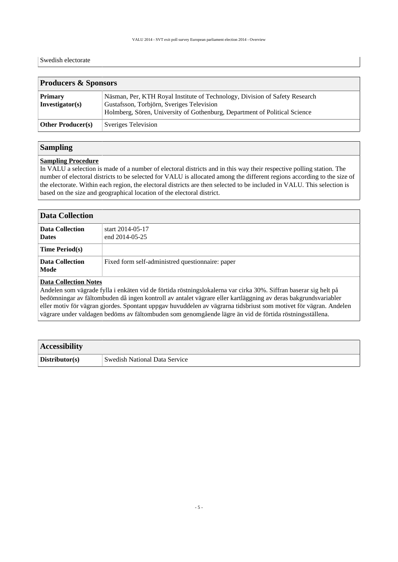#### Swedish electorate

<span id="page-4-0"></span>

| <b>Producers &amp; Sponsors</b>   |                                                                                                                                                                                                        |  |  |
|-----------------------------------|--------------------------------------------------------------------------------------------------------------------------------------------------------------------------------------------------------|--|--|
| <b>Primary</b><br>Investigator(s) | Näsman, Per, KTH Royal Institute of Technology, Division of Safety Research<br>Gustafsson, Torbjörn, Sveriges Television<br>Holmberg, Sören, University of Gothenburg, Department of Political Science |  |  |
| <b>Other Producer(s)</b>          | Sveriges Television                                                                                                                                                                                    |  |  |

#### <span id="page-4-1"></span>**Sampling**

#### **Sampling Procedure**

In VALU a selection is made of a number of electoral districts and in this way their respective polling station. The number of electoral districts to be selected for VALU is allocated among the different regions according to the size of the electorate. Within each region, the electoral districts are then selected to be included in VALU. This selection is based on the size and geographical location of the electoral district.

<span id="page-4-2"></span>

| <b>Data Collection</b>                 |                                                  |  |
|----------------------------------------|--------------------------------------------------|--|
| <b>Data Collection</b><br><b>Dates</b> | start 2014-05-17<br>end 2014-05-25               |  |
| <b>Time Period(s)</b>                  |                                                  |  |
| <b>Data Collection</b><br>Mode         | Fixed form self-administred questionnaire: paper |  |
| <b>Data Collection Notes</b>           |                                                  |  |

Andelen som vägrade fylla i enkäten vid de förtida röstningslokalerna var cirka 30%. Siffran baserar sig helt på bedömningar av fältombuden då ingen kontroll av antalet vägrare eller kartläggning av deras bakgrundsvariabler eller motiv för vägran gjordes. Spontant uppgav huvuddelen av vägrarna tidsbriust som motivet för vägran. Andelen vägrare under valdagen bedöms av fältombuden som genomgående lägre än vid de förtida röstningsställena.

<span id="page-4-3"></span>

| <b>Accessibility</b> |                                      |  |
|----------------------|--------------------------------------|--|
| Distributor(s)       | <b>Swedish National Data Service</b> |  |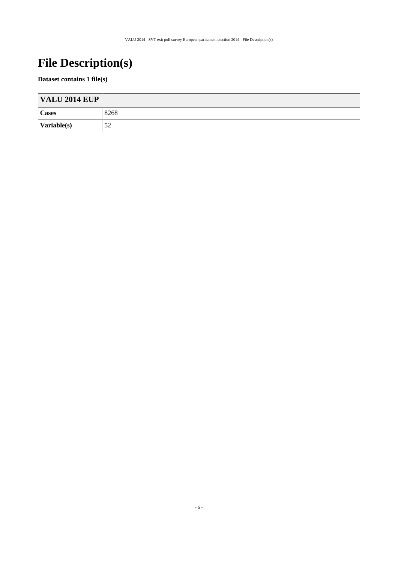# <span id="page-5-0"></span>**File Description(s)**

#### **Dataset contains 1 file(s)**

| <b>VALU 2014 EUP</b>        |      |  |
|-----------------------------|------|--|
| <b>Cases</b>                | 8268 |  |
| $\sqrt{\text{Variable}(s)}$ | 52   |  |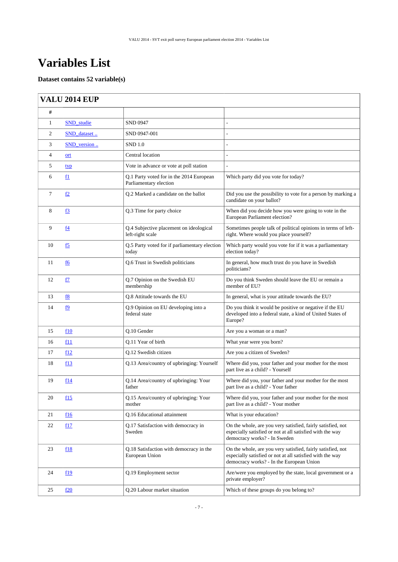## <span id="page-6-0"></span>**Variables List**

#### **Dataset contains 52 variable(s)**

### <span id="page-6-1"></span>**VALU 2014 EUP**

| #              |                |                                                                    |                                                                                                                                                                      |
|----------------|----------------|--------------------------------------------------------------------|----------------------------------------------------------------------------------------------------------------------------------------------------------------------|
| $\mathbf{1}$   | SND studie     | <b>SND 0947</b>                                                    |                                                                                                                                                                      |
| 2              | SND_dataset    | SND 0947-001                                                       |                                                                                                                                                                      |
| 3              | SND_version    | <b>SND 1.0</b>                                                     | $\overline{a}$                                                                                                                                                       |
| $\overline{4}$ | ort            | Central location                                                   |                                                                                                                                                                      |
| 5              | <u>typ</u>     | Vote in advance or vote at poll station                            | $\overline{a}$                                                                                                                                                       |
| 6              | f1             | Q.1 Party voted for in the 2014 European<br>Parliamentary election | Which party did you vote for today?                                                                                                                                  |
| 7              | <u>f2</u>      | Q.2 Marked a candidate on the ballot                               | Did you use the possibility to vote for a person by marking a<br>candidate on your ballot?                                                                           |
| 8              | <u>f3</u>      | Q.3 Time for party choice                                          | When did you decide how you were going to vote in the<br>European Parliament election?                                                                               |
| 9              | f <sub>4</sub> | Q.4 Subjective placement on ideological<br>left-right scale        | Sometimes people talk of political opinions in terms of left-<br>right. Where would you place yourself?                                                              |
| 10             | $f_{2}$        | Q.5 Party voted for if parliamentary election<br>today             | Which party would you vote for if it was a parliamentary<br>election today?                                                                                          |
| 11             | f6             | Q.6 Trust in Swedish politicians                                   | In general, how much trust do you have in Swedish<br>politicians?                                                                                                    |
| 12             | <u>f7</u>      | Q.7 Opinion on the Swedish EU<br>membership                        | Do you think Sweden should leave the EU or remain a<br>member of EU?                                                                                                 |
| 13             | <u>f8</u>      | Q.8 Attitude towards the EU                                        | In general, what is your attitude towards the EU?                                                                                                                    |
| 14             | f9             | Q.9 Opinion on EU developing into a<br>federal state               | Do you think it would be positive or negative if the EU<br>developed into a federal state, a kind of United States of<br>Europe?                                     |
| 15             | f10            | Q.10 Gender                                                        | Are you a woman or a man?                                                                                                                                            |
| 16             | f11            | Q.11 Year of birth                                                 | What year were you born?                                                                                                                                             |
| 17             | f12            | Q.12 Swedish citizen                                               | Are you a citizen of Sweden?                                                                                                                                         |
| 18             | f13            | Q.13 Area/country of upbringing: Yourself                          | Where did you, your father and your mother for the most<br>part live as a child? - Yourself                                                                          |
| 19             | f14            | Q.14 Area/country of upbringing: Your<br>father                    | Where did you, your father and your mother for the most<br>part live as a child? - Your father                                                                       |
| 20             | f15            | Q.15 Area/country of upbringing: Your<br>mother                    | Where did you, your father and your mother for the most<br>part live as a child? - Your mother                                                                       |
| 21             | f16            | <b>O.16</b> Educational attainment                                 | What is your education?                                                                                                                                              |
| 22             | f17            | Q.17 Satisfaction with democracy in<br>Sweden                      | On the whole, are you very satisfied, fairly satisfied, not<br>especially satisfied or not at all satisfied with the way<br>democracy works? - In Sweden             |
| 23             | f18            | Q.18 Satisfaction with democracy in the<br>European Union          | On the whole, are you very satisfied, fairly satisfied, not<br>especially satisfied or not at all satisfied with the way<br>democracy works? - In the European Union |
| 24             | f19            | Q.19 Employment sector                                             | Are/were you employed by the state, local government or a<br>private employer?                                                                                       |
| 25             | f20            | Q.20 Labour market situation                                       | Which of these groups do you belong to?                                                                                                                              |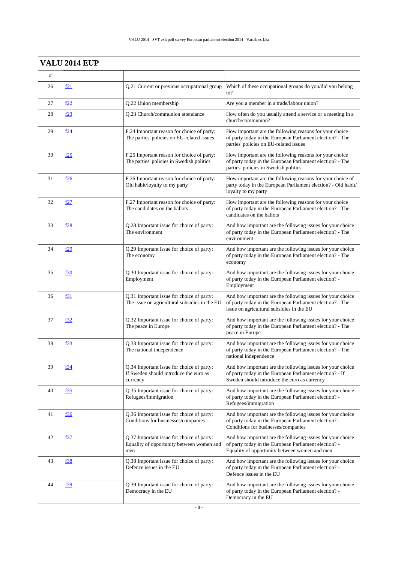|    | <b>VALU 2014 EUP</b> |                                                                                                 |                                                                                                                                                                        |
|----|----------------------|-------------------------------------------------------------------------------------------------|------------------------------------------------------------------------------------------------------------------------------------------------------------------------|
| #  |                      |                                                                                                 |                                                                                                                                                                        |
| 26 | f21                  | Q.21 Current or previous occupational group                                                     | Which of these occupational groups do you/did you belong<br>$\mathrm{to}2$                                                                                             |
| 27 | f <sub>22</sub>      | Q.22 Union membership                                                                           | Are you a member in a trade/labour union?                                                                                                                              |
| 28 | f <sub>23</sub>      | Q.23 Church/communion attendance                                                                | How often do you usually attend a service or a meeting in a<br>church/communion?                                                                                       |
| 29 | f24                  | F.24 Important reason for choice of party:<br>The parties' policies on EU-related issues        | How important are the following reasons for your choice<br>of party today in the European Parliament election? - The<br>parties' policies on EU-related issues         |
| 30 | f25                  | F.25 Important reason for choice of party:<br>The parties' policies in Swedish politics         | How important are the following reasons for your choice<br>of party today in the European Parliament election? - The<br>parties' policies in Swedish politics          |
| 31 | <u>f26</u>           | F.26 Important reason for choice of party:<br>Old habit/loyalty to my party                     | How important are the following reasons for your choice of<br>party today in the European Parliament election? - Old habit/<br>loyalty to my party                     |
| 32 | f27                  | F.27 Important reason for choice of party:<br>The candidates on the ballots                     | How important are the following reasons for your choice<br>of party today in the European Parliament election? - The<br>candidates on the ballots                      |
| 33 | f28                  | Q.28 Important issue for choice of party:<br>The environment                                    | And how important are the following issues for your choice<br>of party today in the European Parliament election? - The<br>environment                                 |
| 34 | f29                  | Q.29 Important issue for choice of party:<br>The economy                                        | And how important are the following issues for your choice<br>of party today in the European Parliament election? - The<br>economy                                     |
| 35 | f30                  | Q.30 Important issue for choice of party:<br>Employment                                         | And how important are the following issues for your choice<br>of party today in the European Parliament election? -<br>Employment                                      |
| 36 | f31                  | Q.31 Important issue for choice of party:<br>The issue on agricultural subsidies in the EU      | And how important are the following issues for your choice<br>of party today in the European Parliament election? - The<br>issue on agricultural subsidies in the EU   |
| 37 | f32                  | Q.32 Important issue for choice of party:<br>The peace in Europe                                | And how important are the following issues for your choice<br>of party today in the European Parliament election? - The<br>peace in Europe                             |
| 38 | f33                  | Q.33 Important issue for choice of party:<br>The national independence                          | And how important are the following issues for your choice<br>of party today in the European Parliament election? - The<br>national independence                       |
| 39 | f34                  | Q.34 Important issue for choice of party:<br>If Sweden should introduce the euro as<br>currency | And how important are the following issues for your choice<br>of party today in the European Parliament election? - If<br>Sweden should introduce the euro as currency |
| 40 | <u>f35</u>           | Q.35 Important issue for choice of party:<br>Refugees/immigration                               | And how important are the following issues for your choice<br>of party today in the European Parliament election? -<br>Refugees/immigration                            |
| 41 | <u>f36</u>           | Q.36 Important issue for choice of party:<br>Conditions for businesses/companies                | And how important are the following issues for your choice<br>of party today in the European Parliament election? -<br>Conditions for businesses/companies             |
| 42 | f37                  | Q.37 Important issue for choice of party:<br>Equality of opportunity between women and<br>men   | And how important are the following issues for your choice<br>of party today in the European Parliament election? -<br>Equality of opportunity between women and men   |
| 43 | f38                  | Q.38 Important issue for choice of party:<br>Defence issues in the EU                           | And how important are the following issues for your choice<br>of party today in the European Parliament election? -<br>Defence issues in the EU                        |
| 44 | f39                  | Q.39 Important issue for choice of party:<br>Democracy in the EU                                | And how important are the following issues for your choice<br>of party today in the European Parliament election? -<br>Democracy in the EU                             |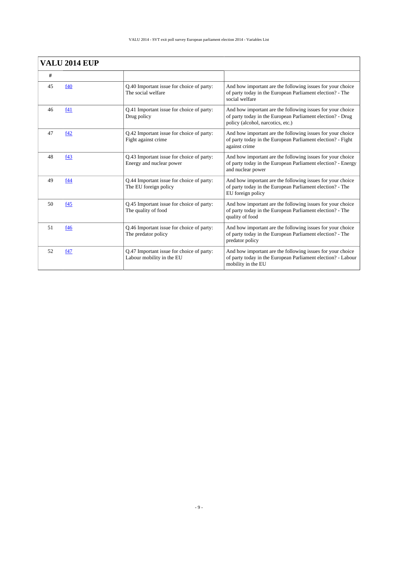| <b>VALU 2014 EUP</b> |     |                                                                        |                                                                                                                                                               |  |
|----------------------|-----|------------------------------------------------------------------------|---------------------------------------------------------------------------------------------------------------------------------------------------------------|--|
| #                    |     |                                                                        |                                                                                                                                                               |  |
| 45                   | f40 | Q.40 Important issue for choice of party:<br>The social welfare        | And how important are the following issues for your choice<br>of party today in the European Parliament election? - The<br>social welfare                     |  |
| 46                   | f41 | Q.41 Important issue for choice of party:<br>Drug policy               | And how important are the following issues for your choice<br>of party today in the European Parliament election? - Drug<br>policy (alcohol, narcotics, etc.) |  |
| 47                   | f42 | Q.42 Important issue for choice of party:<br>Fight against crime       | And how important are the following issues for your choice<br>of party today in the European Parliament election? - Fight<br>against crime                    |  |
| 48                   | f43 | Q.43 Important issue for choice of party:<br>Energy and nuclear power  | And how important are the following issues for your choice<br>of party today in the European Parliament election? - Energy<br>and nuclear power               |  |
| 49                   | f44 | Q.44 Important issue for choice of party:<br>The EU foreign policy     | And how important are the following issues for your choice<br>of party today in the European Parliament election? - The<br>EU foreign policy                  |  |
| 50                   | f45 | Q.45 Important issue for choice of party:<br>The quality of food       | And how important are the following issues for your choice<br>of party today in the European Parliament election? - The<br>quality of food                    |  |
| 51                   | f46 | Q.46 Important issue for choice of party:<br>The predator policy       | And how important are the following issues for your choice<br>of party today in the European Parliament election? - The<br>predator policy                    |  |
| 52                   | f47 | Q.47 Important issue for choice of party:<br>Labour mobility in the EU | And how important are the following issues for your choice<br>of party today in the European Parliament election? - Labour<br>mobility in the EU              |  |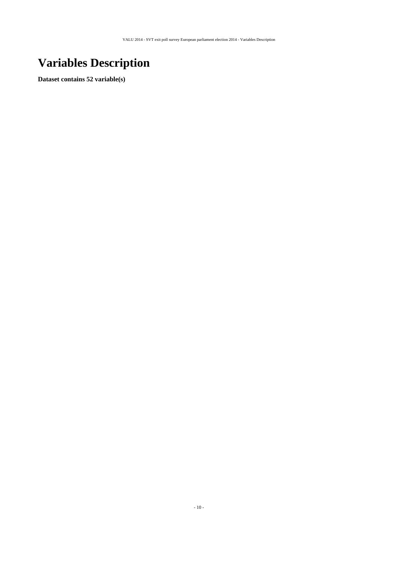# <span id="page-9-0"></span>**Variables Description**

**Dataset contains 52 variable(s)**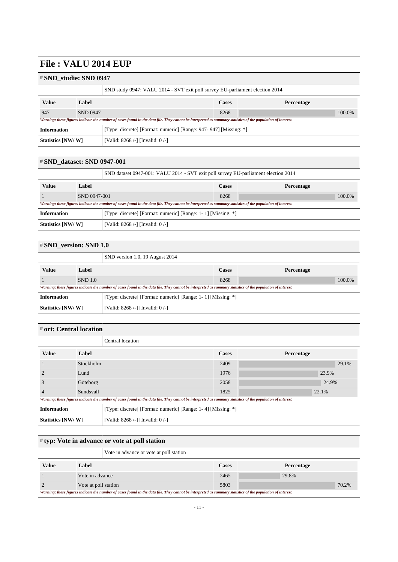#### <span id="page-10-0"></span># **SND\_studie: SND 0947**

|                                                                                         |                 | SND study 0947: VALU 2014 - SVT exit poll survey EU-parliament election 2014                                                                                |              |            |  |  |
|-----------------------------------------------------------------------------------------|-----------------|-------------------------------------------------------------------------------------------------------------------------------------------------------------|--------------|------------|--|--|
| <b>Value</b>                                                                            | Label           |                                                                                                                                                             | <b>Cases</b> | Percentage |  |  |
| 947                                                                                     | <b>SND 0947</b> |                                                                                                                                                             | 8268         | 100.0%     |  |  |
|                                                                                         |                 | Warning: these figures indicate the number of cases found in the data file. They cannot be interpreted as summary statistics of the population of interest. |              |            |  |  |
| [Type: discrete] [Format: numeric] [Range: 947- 947] [Missing: *]<br><b>Information</b> |                 |                                                                                                                                                             |              |            |  |  |
| Statistics [NW/W]                                                                       |                 | [Valid: 8268 /-] [Invalid: 0 /-]                                                                                                                            |              |            |  |  |

<span id="page-10-1"></span>

| # SND dataset: SND 0947-001                                                        |              |                                                                                                                                                             |              |            |
|------------------------------------------------------------------------------------|--------------|-------------------------------------------------------------------------------------------------------------------------------------------------------------|--------------|------------|
|                                                                                    |              | SND dataset 0947-001: VALU 2014 - SVT exit poll survey EU-parliament election 2014                                                                          |              |            |
| <b>Value</b>                                                                       | Label        |                                                                                                                                                             | <b>Cases</b> | Percentage |
|                                                                                    | SND 0947-001 |                                                                                                                                                             |              | 100.0%     |
|                                                                                    |              | Warning: these figures indicate the number of cases found in the data file. They cannot be interpreted as summary statistics of the population of interest. |              |            |
| <b>Information</b><br>[Type: discrete] [Format: numeric] [Range: 1-1] [Missing: *] |              |                                                                                                                                                             |              |            |
| Statistics [NW/W]<br>[Valid: 8268 /-] [Invalid: 0 /-]                              |              |                                                                                                                                                             |              |            |

<span id="page-10-2"></span>

| $\#$ SND version: SND 1.0                                                          |         |                                                                                                                                                             |              |            |  |
|------------------------------------------------------------------------------------|---------|-------------------------------------------------------------------------------------------------------------------------------------------------------------|--------------|------------|--|
|                                                                                    |         | SND version 1.0, 19 August 2014                                                                                                                             |              |            |  |
| <b>Value</b>                                                                       | Label   |                                                                                                                                                             | <b>Cases</b> | Percentage |  |
|                                                                                    | SND 1.0 |                                                                                                                                                             | 8268         | 100.0%     |  |
|                                                                                    |         | Warning: these figures indicate the number of cases found in the data file. They cannot be interpreted as summary statistics of the population of interest. |              |            |  |
| <b>Information</b><br>[Type: discrete] [Format: numeric] [Range: 1-1] [Missing: *] |         |                                                                                                                                                             |              |            |  |
| Statistics [NW/W]                                                                  |         | [Valid: 8268 /-] [Invalid: 0 /-]                                                                                                                            |              |            |  |

### <span id="page-10-3"></span># **ort: Central location**

|                                                                                                                                                             |           | Central location                                             |              |            |  |  |
|-------------------------------------------------------------------------------------------------------------------------------------------------------------|-----------|--------------------------------------------------------------|--------------|------------|--|--|
| <b>Value</b>                                                                                                                                                | Label     |                                                              | <b>Cases</b> | Percentage |  |  |
|                                                                                                                                                             |           | Stockholm                                                    |              | 29.1%      |  |  |
|                                                                                                                                                             | Lund      |                                                              |              | 23.9%      |  |  |
| 3                                                                                                                                                           | Göteborg  |                                                              |              | 24.9%      |  |  |
|                                                                                                                                                             | Sundsvall |                                                              |              | 22.1%      |  |  |
| Warning: these figures indicate the number of cases found in the data file. They cannot be interpreted as summary statistics of the population of interest. |           |                                                              |              |            |  |  |
| <b>Information</b>                                                                                                                                          |           | [Type: discrete] [Format: numeric] [Range: 1-4] [Missing: *] |              |            |  |  |
| Statistics [NW/W]<br>[Valid: 8268 /-] [Invalid: 0/-]                                                                                                        |           |                                                              |              |            |  |  |

<span id="page-10-4"></span>

| $\sharp$ typ: Vote in advance or vote at poll station |                      |                                                                                                                                                             |              |  |            |       |
|-------------------------------------------------------|----------------------|-------------------------------------------------------------------------------------------------------------------------------------------------------------|--------------|--|------------|-------|
|                                                       |                      | Vote in advance or vote at poll station                                                                                                                     |              |  |            |       |
| <b>Value</b>                                          | Label                |                                                                                                                                                             | <b>Cases</b> |  | Percentage |       |
|                                                       | Vote in advance      |                                                                                                                                                             | 2465         |  | 29.8%      |       |
|                                                       | Vote at poll station |                                                                                                                                                             | 5803         |  |            | 70.2% |
|                                                       |                      | Warning: these figures indicate the number of cases found in the data file. They cannot be interpreted as summary statistics of the population of interest. |              |  |            |       |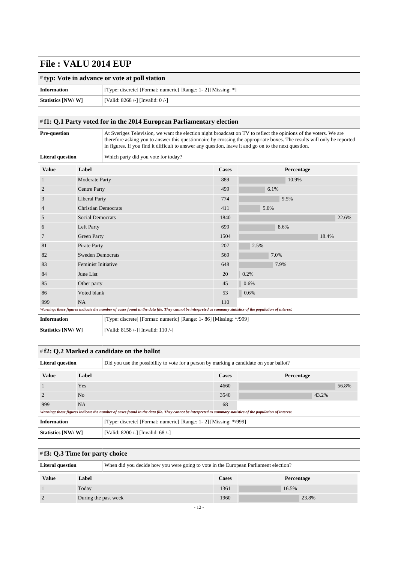| $\sharp$ typ: Vote in advance or vote at poll station |                                                              |  |  |
|-------------------------------------------------------|--------------------------------------------------------------|--|--|
| <b>Information</b>                                    | [Type: discrete] [Format: numeric] [Range: 1-2] [Missing: *] |  |  |
| Statistics [NW/W]                                     | [Valid: $8268$ /-] [Invalid: $0$ /-]                         |  |  |

### <span id="page-11-0"></span># **f1: Q.1 Party voted for in the 2014 European Parliamentary election**

| <b>Pre-question</b>     |                            | At Sveriges Television, we want the election night broadcast on TV to reflect the opinions of the voters. We are<br>therefore asking you to answer this questionnaire by crossing the appropriate boxes. The results will only be reported<br>in figures. If you find it difficult to answer any question, leave it and go on to the next question. |              |            |       |  |  |  |
|-------------------------|----------------------------|-----------------------------------------------------------------------------------------------------------------------------------------------------------------------------------------------------------------------------------------------------------------------------------------------------------------------------------------------------|--------------|------------|-------|--|--|--|
| <b>Literal question</b> |                            | Which party did you vote for today?                                                                                                                                                                                                                                                                                                                 |              |            |       |  |  |  |
| <b>Value</b>            | Label                      |                                                                                                                                                                                                                                                                                                                                                     | <b>Cases</b> | Percentage |       |  |  |  |
|                         | Moderate Party             |                                                                                                                                                                                                                                                                                                                                                     | 889          | 10.9%      |       |  |  |  |
| $\overline{2}$          | <b>Centre Party</b>        |                                                                                                                                                                                                                                                                                                                                                     | 499          | 6.1%       |       |  |  |  |
| 3                       | <b>Liberal Party</b>       |                                                                                                                                                                                                                                                                                                                                                     | 774          | 9.5%       |       |  |  |  |
| 4                       |                            | <b>Christian Democrats</b>                                                                                                                                                                                                                                                                                                                          |              | 5.0%       |       |  |  |  |
| 5                       | <b>Social Democrats</b>    |                                                                                                                                                                                                                                                                                                                                                     | 1840         |            | 22.6% |  |  |  |
| 6                       | Left Party                 |                                                                                                                                                                                                                                                                                                                                                     |              | 8.6%       |       |  |  |  |
| 7                       | <b>Green Party</b>         |                                                                                                                                                                                                                                                                                                                                                     | 1504         |            | 18.4% |  |  |  |
| 81                      | Pirate Party               |                                                                                                                                                                                                                                                                                                                                                     | 207          | 2.5%       |       |  |  |  |
| 82                      | <b>Sweden Democrats</b>    |                                                                                                                                                                                                                                                                                                                                                     | 569          | 7.0%       |       |  |  |  |
| 83                      | <b>Feminist Initiative</b> |                                                                                                                                                                                                                                                                                                                                                     | 648          | 7.9%       |       |  |  |  |
| 84                      | June List                  |                                                                                                                                                                                                                                                                                                                                                     | 20           | 0.2%       |       |  |  |  |
| 85                      | Other party                |                                                                                                                                                                                                                                                                                                                                                     | 45           | 0.6%       |       |  |  |  |
| 86                      | Voted blank                |                                                                                                                                                                                                                                                                                                                                                     | 53           | 0.6%       |       |  |  |  |
| 999                     | <b>NA</b>                  |                                                                                                                                                                                                                                                                                                                                                     | 110          |            |       |  |  |  |
|                         |                            | Warning: these figures indicate the number of cases found in the data file. They cannot be interpreted as summary statistics of the population of interest.                                                                                                                                                                                         |              |            |       |  |  |  |
| <b>Information</b>      |                            | [Type: discrete] [Format: numeric] [Range: 1- 86] [Missing: */999]                                                                                                                                                                                                                                                                                  |              |            |       |  |  |  |
| Statistics [NW/W]       |                            | [Valid: 8158 /-] [Invalid: 110 /-]                                                                                                                                                                                                                                                                                                                  |              |            |       |  |  |  |

<span id="page-11-1"></span>

| #f2: Q.2 Marked a candidate on the ballot                                                                          |       |                                                                                                                                                             |              |            |  |  |
|--------------------------------------------------------------------------------------------------------------------|-------|-------------------------------------------------------------------------------------------------------------------------------------------------------------|--------------|------------|--|--|
| <b>Literal question</b><br>Did you use the possibility to vote for a person by marking a candidate on your ballot? |       |                                                                                                                                                             |              |            |  |  |
| <b>Value</b>                                                                                                       | Label |                                                                                                                                                             | <b>Cases</b> | Percentage |  |  |
|                                                                                                                    | Yes   |                                                                                                                                                             | 4660         | 56.8%      |  |  |
|                                                                                                                    | No    |                                                                                                                                                             | 3540         | 43.2%      |  |  |
| 999                                                                                                                | NA.   |                                                                                                                                                             | 68           |            |  |  |
|                                                                                                                    |       | Warning: these figures indicate the number of cases found in the data file. They cannot be interpreted as summary statistics of the population of interest. |              |            |  |  |
| <b>Information</b><br>[Type: discrete] [Format: numeric] [Range: 1-2] [Missing: */999]                             |       |                                                                                                                                                             |              |            |  |  |
| Statistics [NW/W]                                                                                                  |       | [Valid: 8200 /-] [Invalid: 68 /-]                                                                                                                           |              |            |  |  |

<span id="page-11-2"></span>

| $\#$ f3: Q.3 Time for party choice |                      |                                                                                     |              |            |
|------------------------------------|----------------------|-------------------------------------------------------------------------------------|--------------|------------|
| <b>Literal question</b>            |                      | When did you decide how you were going to vote in the European Parliament election? |              |            |
| <b>Value</b>                       | Label                |                                                                                     | <b>Cases</b> | Percentage |
|                                    | Today                |                                                                                     |              | 16.5%      |
|                                    | During the past week |                                                                                     | 1960         | 23.8%      |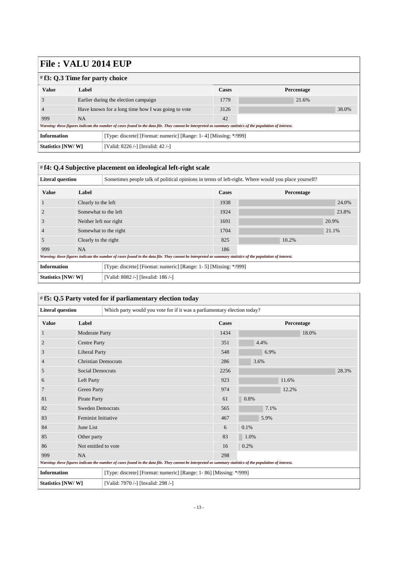| $\#$ f3: Q.3 Time for party choice |                                                    |                                                                                                                                                             |              |            |  |
|------------------------------------|----------------------------------------------------|-------------------------------------------------------------------------------------------------------------------------------------------------------------|--------------|------------|--|
| <b>Value</b>                       | Label                                              |                                                                                                                                                             | <b>Cases</b> | Percentage |  |
| 3                                  | Earlier during the election campaign               |                                                                                                                                                             | 1779         | 21.6%      |  |
|                                    | Have known for a long time how I was going to vote |                                                                                                                                                             | 3126         | 38.0%      |  |
| 999                                | <b>NA</b>                                          |                                                                                                                                                             | 42           |            |  |
|                                    |                                                    | Warning: these figures indicate the number of cases found in the data file. They cannot be interpreted as summary statistics of the population of interest. |              |            |  |
| <b>Information</b>                 |                                                    | [Type: discrete] [Format: numeric] [Range: 1-4] [Missing: */999]                                                                                            |              |            |  |
| Statistics [NW/W]                  |                                                    | [Valid: 8226 /-] [Invalid: 42 /-]                                                                                                                           |              |            |  |

#### <span id="page-12-0"></span># **f4: Q.4 Subjective placement on ideological left-right scale**

| <b>Literal question</b> |                        | Sometimes people talk of political opinions in terms of left-right. Where would you place yourself?                                                         |              |            |       |  |
|-------------------------|------------------------|-------------------------------------------------------------------------------------------------------------------------------------------------------------|--------------|------------|-------|--|
| <b>Value</b>            | Label                  |                                                                                                                                                             | <b>Cases</b> | Percentage |       |  |
|                         | Clearly to the left    |                                                                                                                                                             | 1938         |            | 24.0% |  |
|                         | Somewhat to the left   |                                                                                                                                                             | 1924         |            | 23.8% |  |
| 3                       | Neither left nor right |                                                                                                                                                             | 1691         |            | 20.9% |  |
| $\overline{4}$          | Somewhat to the right  |                                                                                                                                                             | 1704         |            | 21.1% |  |
| 5                       | Clearly to the right   |                                                                                                                                                             | 825          | 10.2%      |       |  |
| 999                     | <b>NA</b>              |                                                                                                                                                             | 186          |            |       |  |
|                         |                        | Warning: these figures indicate the number of cases found in the data file. They cannot be interpreted as summary statistics of the population of interest. |              |            |       |  |
| <b>Information</b>      |                        | [Type: discrete] [Format: numeric] [Range: 1- 5] [Missing: */999]                                                                                           |              |            |       |  |
| Statistics [NW/W]       |                        | [Valid: 8082 /-] [Invalid: 186 /-]                                                                                                                          |              |            |       |  |

<span id="page-12-1"></span>

|                         |                            | # f5: Q.5 Party voted for if parliamentary election today                |                                                                                                                                                             |              |            |       |       |       |
|-------------------------|----------------------------|--------------------------------------------------------------------------|-------------------------------------------------------------------------------------------------------------------------------------------------------------|--------------|------------|-------|-------|-------|
| <b>Literal question</b> |                            | Which party would you vote for if it was a parliamentary election today? |                                                                                                                                                             |              |            |       |       |       |
| <b>Value</b>            | Label                      |                                                                          |                                                                                                                                                             | <b>Cases</b> | Percentage |       |       |       |
| 1                       | Moderate Party             |                                                                          |                                                                                                                                                             | 1434         |            |       | 18.0% |       |
| $\overline{2}$          | <b>Centre Party</b>        |                                                                          |                                                                                                                                                             | 351          | 4.4%       |       |       |       |
| 3                       | <b>Liberal Party</b>       |                                                                          |                                                                                                                                                             | 548          | 6.9%       |       |       |       |
| $\overline{4}$          | <b>Christian Democrats</b> |                                                                          |                                                                                                                                                             | 286          | 3.6%       |       |       |       |
| 5                       |                            | <b>Social Democrats</b>                                                  |                                                                                                                                                             | 2256         |            |       |       | 28.3% |
| 6                       | Left Party                 |                                                                          |                                                                                                                                                             | 923          |            | 11.6% |       |       |
| 7                       |                            | <b>Green Party</b>                                                       |                                                                                                                                                             | 974          |            | 12.2% |       |       |
| 81                      | Pirate Party               |                                                                          |                                                                                                                                                             | 61           | 0.8%       |       |       |       |
| 82                      | <b>Sweden Democrats</b>    |                                                                          |                                                                                                                                                             | 565          | 7.1%       |       |       |       |
| 83                      | <b>Feminist Initiative</b> |                                                                          |                                                                                                                                                             | 467          | 5.9%       |       |       |       |
| 84                      | June List                  |                                                                          |                                                                                                                                                             | 6            | 0.1%       |       |       |       |
| 85                      | Other party                |                                                                          |                                                                                                                                                             | 83           | 1.0%       |       |       |       |
| 86                      | Not entitled to vote       |                                                                          |                                                                                                                                                             | 16           | 0.2%       |       |       |       |
| 999                     | <b>NA</b>                  |                                                                          |                                                                                                                                                             | 298          |            |       |       |       |
|                         |                            |                                                                          | Warning: these figures indicate the number of cases found in the data file. They cannot be interpreted as summary statistics of the population of interest. |              |            |       |       |       |
| <b>Information</b>      |                            |                                                                          | [Type: discrete] [Format: numeric] [Range: 1-86] [Missing: */999]                                                                                           |              |            |       |       |       |
| Statistics [NW/W]       |                            | [Valid: 7970 /-] [Invalid: 298 /-]                                       |                                                                                                                                                             |              |            |       |       |       |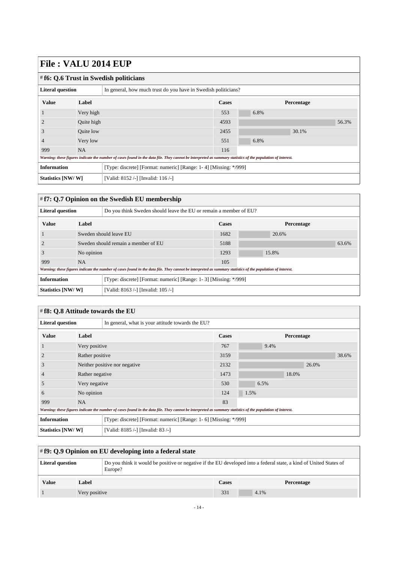<span id="page-13-0"></span>

| .                                                                                      |            |                                                                                                                                                             |      |            |  |  |
|----------------------------------------------------------------------------------------|------------|-------------------------------------------------------------------------------------------------------------------------------------------------------------|------|------------|--|--|
| # f6: Q.6 Trust in Swedish politicians                                                 |            |                                                                                                                                                             |      |            |  |  |
| <b>Literal question</b>                                                                |            | In general, how much trust do you have in Swedish politicians?                                                                                              |      |            |  |  |
| <b>Value</b>                                                                           | Label      |                                                                                                                                                             |      | Percentage |  |  |
|                                                                                        | Very high  |                                                                                                                                                             | 553  | 6.8%       |  |  |
|                                                                                        | Quite high |                                                                                                                                                             | 4593 | 56.3%      |  |  |
| 3                                                                                      | Quite low  |                                                                                                                                                             | 2455 | 30.1%      |  |  |
| $\overline{4}$                                                                         | Very low   |                                                                                                                                                             | 551  | 6.8%       |  |  |
| 999                                                                                    | <b>NA</b>  |                                                                                                                                                             | 116  |            |  |  |
|                                                                                        |            | Warning: these figures indicate the number of cases found in the data file. They cannot be interpreted as summary statistics of the population of interest. |      |            |  |  |
| <b>Information</b><br>[Type: discrete] [Format: numeric] [Range: 1-4] [Missing: */999] |            |                                                                                                                                                             |      |            |  |  |
| Statistics [NW/W]                                                                      |            | [Valid: 8152 /-] [Invalid: 116 /-]                                                                                                                          |      |            |  |  |

### <span id="page-13-1"></span># **f7: Q.7 Opinion on the Swedish EU membership**

| <b>Literal question</b>                                                                                                                                     |                                     | Do you think Sweden should leave the EU or remain a member of EU? |              |            |  |  |
|-------------------------------------------------------------------------------------------------------------------------------------------------------------|-------------------------------------|-------------------------------------------------------------------|--------------|------------|--|--|
| <b>Value</b>                                                                                                                                                | Label                               |                                                                   | <b>Cases</b> | Percentage |  |  |
|                                                                                                                                                             | Sweden should leave EU              |                                                                   | 1682         | 20.6%      |  |  |
|                                                                                                                                                             | Sweden should remain a member of EU |                                                                   | 5188         | 63.6%      |  |  |
|                                                                                                                                                             | No opinion                          |                                                                   | 1293         | 15.8%      |  |  |
| 999                                                                                                                                                         | NA.                                 |                                                                   |              |            |  |  |
| Warning: these figures indicate the number of cases found in the data file. They cannot be interpreted as summary statistics of the population of interest. |                                     |                                                                   |              |            |  |  |
| <b>Information</b>                                                                                                                                          |                                     | [Type: discrete] [Format: numeric] [Range: 1-3] [Missing: */999]  |              |            |  |  |
| Statistics [NW/W]                                                                                                                                           |                                     | [Valid: 8163 /-] [Invalid: 105 /-]                                |              |            |  |  |

<span id="page-13-2"></span>

| #f8: Q.8 Attitude towards the EU                                                                                                                            |                               |                                                   |              |            |       |       |
|-------------------------------------------------------------------------------------------------------------------------------------------------------------|-------------------------------|---------------------------------------------------|--------------|------------|-------|-------|
| <b>Literal question</b>                                                                                                                                     |                               | In general, what is your attitude towards the EU? |              |            |       |       |
| <b>Value</b>                                                                                                                                                | Label                         |                                                   | <b>Cases</b> | Percentage |       |       |
|                                                                                                                                                             | Very positive                 |                                                   | 767          | 9.4%       |       |       |
|                                                                                                                                                             | Rather positive               |                                                   | 3159         |            |       | 38.6% |
| 3                                                                                                                                                           | Neither positive nor negative |                                                   | 2132         |            | 26.0% |       |
| 4                                                                                                                                                           | Rather negative               |                                                   | 1473         |            | 18.0% |       |
| 5                                                                                                                                                           | Very negative                 |                                                   | 530          | 6.5%       |       |       |
| 6                                                                                                                                                           | No opinion                    |                                                   | 124          | 1.5%       |       |       |
| 999                                                                                                                                                         | <b>NA</b>                     |                                                   | 83           |            |       |       |
| Warning: these figures indicate the number of cases found in the data file. They cannot be interpreted as summary statistics of the population of interest. |                               |                                                   |              |            |       |       |
| <b>Information</b><br>[Type: discrete] [Format: numeric] [Range: 1- 6] [Missing: */999]                                                                     |                               |                                                   |              |            |       |       |
| Statistics [NW/W]                                                                                                                                           |                               | [Valid: 8185 /-] [Invalid: 83 /-]                 |              |            |       |       |

<span id="page-13-3"></span>

| $\#$ f9: Q.9 Opinion on EU developing into a federal state |               |                                                                                                                               |       |            |  |
|------------------------------------------------------------|---------------|-------------------------------------------------------------------------------------------------------------------------------|-------|------------|--|
| Literal question                                           |               | Do you think it would be positive or negative if the EU developed into a federal state, a kind of United States of<br>Europe? |       |            |  |
| <b>Value</b>                                               | Label         |                                                                                                                               | Cases | Percentage |  |
|                                                            | Very positive |                                                                                                                               | 331   | 4.1%       |  |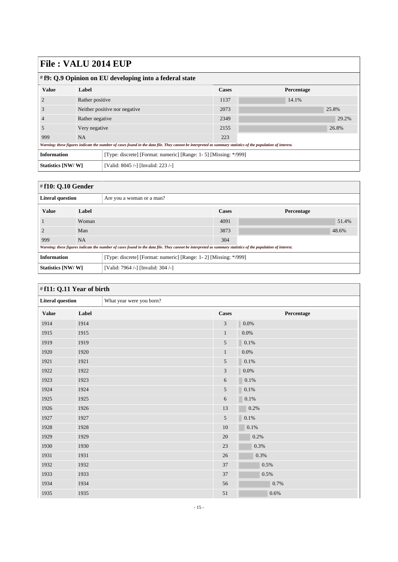| $\#$ f9: Q.9 Opinion on EU developing into a federal state                                                                                                  |                                |                                                                   |      |       |  |  |
|-------------------------------------------------------------------------------------------------------------------------------------------------------------|--------------------------------|-------------------------------------------------------------------|------|-------|--|--|
| <b>Value</b>                                                                                                                                                | Label                          | <b>Cases</b><br>Percentage                                        |      |       |  |  |
|                                                                                                                                                             | Rather positive                |                                                                   | 1137 | 14.1% |  |  |
|                                                                                                                                                             | Neither positive nor negative. |                                                                   | 2073 | 25.8% |  |  |
|                                                                                                                                                             | Rather negative                |                                                                   | 2349 | 29.2% |  |  |
|                                                                                                                                                             | Very negative                  |                                                                   | 2155 | 26.8% |  |  |
| 999                                                                                                                                                         | <b>NA</b>                      |                                                                   | 223  |       |  |  |
| Warning: these figures indicate the number of cases found in the data file. They cannot be interpreted as summary statistics of the population of interest. |                                |                                                                   |      |       |  |  |
| <b>Information</b>                                                                                                                                          |                                | [Type: discrete] [Format: numeric] [Range: 1- 5] [Missing: */999] |      |       |  |  |
| Statistics [NW/W]                                                                                                                                           |                                | [Valid: 8045 /-] [Invalid: 223 /-]                                |      |       |  |  |

### <span id="page-14-0"></span># **f10: Q.10 Gender**

| ---- <b>-</b> --- ------                                                               |           |                                                                                                                                                             |      |                   |  |
|----------------------------------------------------------------------------------------|-----------|-------------------------------------------------------------------------------------------------------------------------------------------------------------|------|-------------------|--|
| <b>Literal question</b>                                                                |           | Are you a woman or a man?                                                                                                                                   |      |                   |  |
| <b>Value</b>                                                                           | Label     |                                                                                                                                                             |      | <b>Percentage</b> |  |
|                                                                                        | Woman     |                                                                                                                                                             | 4091 | 51.4%             |  |
|                                                                                        | Man       |                                                                                                                                                             |      | 48.6%             |  |
| 999                                                                                    | <b>NA</b> |                                                                                                                                                             | 304  |                   |  |
|                                                                                        |           | Warning: these figures indicate the number of cases found in the data file. They cannot be interpreted as summary statistics of the population of interest. |      |                   |  |
| <b>Information</b><br>[Type: discrete] [Format: numeric] [Range: 1-2] [Missing: */999] |           |                                                                                                                                                             |      |                   |  |
| Statistics [NW/W]<br>[Valid: 7964 /-] [Invalid: 304 /-]                                |           |                                                                                                                                                             |      |                   |  |

<span id="page-14-1"></span>

| #f11: Q.11 Year of birth |       |                          |                |            |  |
|--------------------------|-------|--------------------------|----------------|------------|--|
| <b>Literal question</b>  |       | What year were you born? |                |            |  |
| <b>Value</b>             | Label |                          | <b>Cases</b>   | Percentage |  |
| 1914                     | 1914  |                          | $\mathfrak{Z}$ | 0.0%       |  |
| 1915                     | 1915  |                          | $\mathbf{1}$   | 0.0%       |  |
| 1919                     | 1919  |                          | 5              | 0.1%       |  |
| 1920                     | 1920  |                          | $\mathbf{1}$   | 0.0%       |  |
| 1921                     | 1921  |                          | 5              | $0.1\%$    |  |
| 1922                     | 1922  |                          | 3              | 0.0%       |  |
| 1923                     | 1923  |                          | 6              | 0.1%       |  |
| 1924                     | 1924  |                          | $\sqrt{5}$     | 0.1%       |  |
| 1925                     | 1925  |                          | 6              | 0.1%       |  |
| 1926                     | 1926  |                          | 13             | 0.2%       |  |
| 1927                     | 1927  |                          | $\sqrt{5}$     | $0.1\%$    |  |
| 1928                     | 1928  |                          | 10             | 0.1%       |  |
| 1929                     | 1929  |                          | 20             | 0.2%       |  |
| 1930                     | 1930  |                          | 23             | $0.3\%$    |  |
| 1931                     | 1931  |                          | 26             | 0.3%       |  |
| 1932                     | 1932  |                          | 37             | 0.5%       |  |
| 1933                     | 1933  |                          | 37             | $0.5\%$    |  |
| 1934                     | 1934  |                          | 56             | 0.7%       |  |
| 1935                     | 1935  |                          | $51\,$         | $0.6\%$    |  |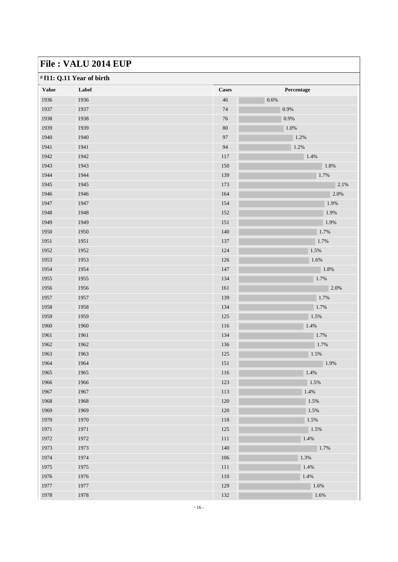| <b>Value</b> | Label | <b>Cases</b> | Percentage |
|--------------|-------|--------------|------------|
| 1936         | 1936  | $46\,$       | 0.6%       |
| 1937         | 1937  | 74           | 0.9%       |
| 1938         | 1938  | $76\,$       | $0.9\%$    |
| 1939         | 1939  | $80\,$       | 1.0%       |
| 1940         | 1940  | $\bf{97}$    | 1.2%       |
| 1941         | 1941  | 94           | 1.2%       |
| 1942         | 1942  | 117          | 1.4%       |
| 1943         | 1943  | 150          | 1.8%       |
| 1944         | 1944  | 139          | 1.7%       |
| 1945         | 1945  | 173          | 2.1%       |
| 1946         | 1946  | 164          | 2.0%       |
| 1947         | 1947  | 154          | 1.9%       |
| 1948         | 1948  | 152          | $1.9\%$    |
| 1949         | 1949  | 151          | 1.9%       |
| 1950         | 1950  | 140          | 1.7%       |
| 1951         | 1951  | 137          | 1.7%       |
| 1952         | 1952  | 124          | 1.5%       |
| 1953         | 1953  | 126          | 1.6%       |
| 1954         | 1954  | 147          | 1.8%       |
| 1955         | 1955  | 134          | 1.7%       |
| 1956         | 1956  | 161          | 2.0%       |
| 1957         | 1957  | 139          | 1.7%       |
| 1958         | 1958  | 134          | 1.7%       |
| 1959         | 1959  | 125          | 1.5%       |
| 1960         | 1960  | 116          | 1.4%       |
| 1961         | 1961  | 134          | 1.7%       |
| 1962         | 1962  | 136          | 1.7%       |
| 1963         | 1963  | 125          | 1.5%       |
| 1964         | 1964  | 151          | 1.9%       |
| 1965         | 1965  | 116          | 1.4%       |
| 1966         | 1966  | 123          | 1.5%       |
| 1967         | 1967  | 113          | 1.4%       |
| 1968         | 1968  | 120          | 1.5%       |
| 1969         | 1969  | 120          | 1.5%       |
| 1970         | 1970  | 118          | 1.5%       |
| 1971         | 1971  | 125          | 1.5%       |
| 1972         | 1972  | 111          | 1.4%       |
| 1973         | 1973  | 140          | 1.7%       |
| 1974         | 1974  | 106          | 1.3%       |
| 1975         | 1975  | 111          | 1.4%       |
| 1976         | 1976  | 110          | 1.4%       |
| 1977         | 1977  | 129          | $1.6\%$    |
| 1978         | 1978  | 132          | 1.6%       |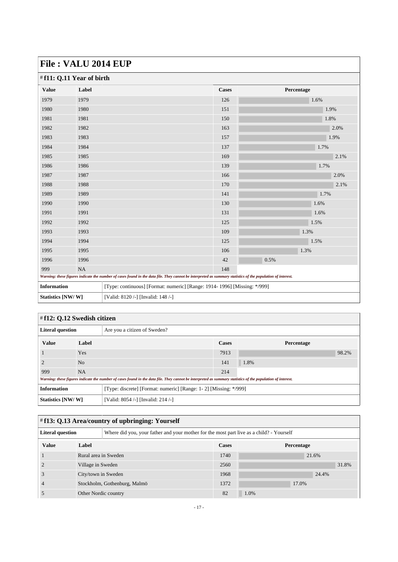| #f11: Q.11 Year of birth                                |       |                                                                                                                                                             |              |            |      |  |
|---------------------------------------------------------|-------|-------------------------------------------------------------------------------------------------------------------------------------------------------------|--------------|------------|------|--|
| Value                                                   | Label |                                                                                                                                                             | <b>Cases</b> | Percentage |      |  |
| 1979                                                    | 1979  |                                                                                                                                                             | 126          |            | 1.6% |  |
| 1980                                                    | 1980  |                                                                                                                                                             | 151          |            | 1.9% |  |
| 1981                                                    | 1981  |                                                                                                                                                             | 150          |            | 1.8% |  |
| 1982                                                    | 1982  |                                                                                                                                                             | 163          |            | 2.0% |  |
| 1983                                                    | 1983  |                                                                                                                                                             | 157          |            | 1.9% |  |
| 1984                                                    | 1984  |                                                                                                                                                             | 137          |            | 1.7% |  |
| 1985                                                    | 1985  |                                                                                                                                                             | 169          |            | 2.1% |  |
| 1986                                                    | 1986  |                                                                                                                                                             | 139          |            | 1.7% |  |
| 1987                                                    | 1987  |                                                                                                                                                             | 166          |            | 2.0% |  |
| 1988                                                    | 1988  |                                                                                                                                                             | 170          |            | 2.1% |  |
| 1989                                                    | 1989  |                                                                                                                                                             | 141          |            | 1.7% |  |
| 1990                                                    | 1990  |                                                                                                                                                             | 130          |            | 1.6% |  |
| 1991                                                    | 1991  |                                                                                                                                                             | 131          |            | 1.6% |  |
| 1992                                                    | 1992  |                                                                                                                                                             | 125          |            | 1.5% |  |
| 1993                                                    | 1993  |                                                                                                                                                             | 109          |            | 1.3% |  |
| 1994                                                    | 1994  |                                                                                                                                                             | 125          |            | 1.5% |  |
| 1995                                                    | 1995  |                                                                                                                                                             | 106          | 1.3%       |      |  |
| 1996                                                    | 1996  |                                                                                                                                                             |              | 0.5%       |      |  |
| 999                                                     | NA    |                                                                                                                                                             | 148          |            |      |  |
|                                                         |       | Warning: these figures indicate the number of cases found in the data file. They cannot be interpreted as summary statistics of the population of interest. |              |            |      |  |
| <b>Information</b>                                      |       | [Type: continuous] [Format: numeric] [Range: 1914- 1996] [Missing: */999]                                                                                   |              |            |      |  |
| Statistics [NW/W]<br>[Valid: 8120 /-] [Invalid: 148 /-] |       |                                                                                                                                                             |              |            |      |  |

#### <span id="page-16-0"></span># **f12: Q.12 Swedish citizen Literal question** Are you a citizen of Sweden? **Value Label Cases Percentage**  $1 \text{ Yes}$  98.2% 98.2% 2 No  $N_0$  141 1.8% 999 NA 214 *Warning: these figures indicate the number of cases found in the data file. They cannot be interpreted as summary statistics of the population of interest.* **Information** [Type: discrete] [Format: numeric] [Range: 1-2] [Missing: \*/999] **Statistics [NW/ W]** [Valid: 8054 /-] [Invalid: 214 /-]

#### <span id="page-16-1"></span># **f13: Q.13 Area/country of upbringing: Yourself**

| <b>Literal question</b> |                      | Where did you, your father and your mother for the most part live as a child? - Yourself |      |            |       |  |
|-------------------------|----------------------|------------------------------------------------------------------------------------------|------|------------|-------|--|
| <b>Value</b>            | Label                |                                                                                          |      | Percentage |       |  |
|                         |                      | Rural area in Sweden                                                                     |      | 21.6%      |       |  |
|                         | Village in Sweden    |                                                                                          | 2560 |            | 31.8% |  |
|                         | City/town in Sweden  |                                                                                          | 1968 |            | 24.4% |  |
|                         |                      | Stockholm, Gothenburg, Malmö                                                             |      |            | 17.0% |  |
|                         | Other Nordic country |                                                                                          | 82   | 1.0%       |       |  |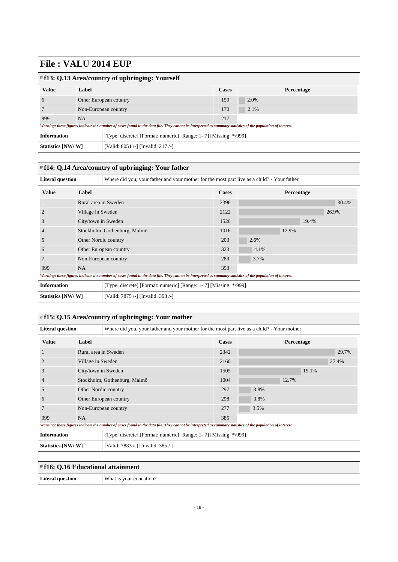| $\#$ f13: Q.13 Area/country of upbringing: Yourself                                                                                                         |                        |                                                                  |              |            |  |  |
|-------------------------------------------------------------------------------------------------------------------------------------------------------------|------------------------|------------------------------------------------------------------|--------------|------------|--|--|
| <b>Value</b>                                                                                                                                                | Label                  |                                                                  | <b>Cases</b> | Percentage |  |  |
| $\mathbf{a}$                                                                                                                                                | Other European country |                                                                  | 159          | 2.0%       |  |  |
|                                                                                                                                                             | Non-European country   |                                                                  | 170          | 2.1%       |  |  |
| 999                                                                                                                                                         | NA.                    |                                                                  | 217          |            |  |  |
| Warning: these figures indicate the number of cases found in the data file. They cannot be interpreted as summary statistics of the population of interest. |                        |                                                                  |              |            |  |  |
| <b>Information</b>                                                                                                                                          |                        | [Type: discrete] [Format: numeric] [Range: 1-7] [Missing: */999] |              |            |  |  |
| Statistics [NW/W]                                                                                                                                           |                        | [Valid: 8051 /-] [Invalid: 217 /-]                               |              |            |  |  |

<span id="page-17-0"></span>

| #f14: Q.14 Area/country of upbringing: Your father                                                                                                          |                              |                                                                                             |              |            |       |  |
|-------------------------------------------------------------------------------------------------------------------------------------------------------------|------------------------------|---------------------------------------------------------------------------------------------|--------------|------------|-------|--|
| <b>Literal question</b>                                                                                                                                     |                              | Where did you, your father and your mother for the most part live as a child? - Your father |              |            |       |  |
| <b>Value</b>                                                                                                                                                | Label                        |                                                                                             | <b>Cases</b> | Percentage |       |  |
|                                                                                                                                                             | Rural area in Sweden         |                                                                                             | 2396         |            | 30.4% |  |
|                                                                                                                                                             | Village in Sweden            |                                                                                             | 2122         |            | 26.9% |  |
| 3                                                                                                                                                           | City/town in Sweden          |                                                                                             | 1526         |            | 19.4% |  |
|                                                                                                                                                             | Stockholm, Gothenburg, Malmö |                                                                                             | 1016         | 12.9%      |       |  |
| C                                                                                                                                                           | Other Nordic country         |                                                                                             | 203          | 2.6%       |       |  |
| 6                                                                                                                                                           |                              | Other European country                                                                      | 323          | 4.1%       |       |  |
|                                                                                                                                                             |                              | Non-European country                                                                        | 289          | 3.7%       |       |  |
| 999                                                                                                                                                         | <b>NA</b>                    |                                                                                             | 393          |            |       |  |
| Warning: these figures indicate the number of cases found in the data file. They cannot be interpreted as summary statistics of the population of interest. |                              |                                                                                             |              |            |       |  |
| <b>Information</b><br>[Type: discrete] [Format: numeric] [Range: 1-7] [Missing: */999]                                                                      |                              |                                                                                             |              |            |       |  |
| Statistics [NW/W]                                                                                                                                           |                              | [Valid: 7875 /-] [Invalid: 393 /-]                                                          |              |            |       |  |

### <span id="page-17-1"></span># **f15: Q.15 Area/country of upbringing: Your mother**

| <b>Literal question</b> |                                                                                                                                                             | Where did you, your father and your mother for the most part live as a child? - Your mother |       |            |  |  |  |
|-------------------------|-------------------------------------------------------------------------------------------------------------------------------------------------------------|---------------------------------------------------------------------------------------------|-------|------------|--|--|--|
| <b>Value</b>            | Label                                                                                                                                                       |                                                                                             | Cases | Percentage |  |  |  |
|                         | Rural area in Sweden                                                                                                                                        |                                                                                             | 2342  | 29.7%      |  |  |  |
|                         | Village in Sweden                                                                                                                                           |                                                                                             | 2160  | 27.4%      |  |  |  |
| 3                       | City/town in Sweden                                                                                                                                         |                                                                                             | 1505  | 19.1%      |  |  |  |
| 4                       | Stockholm, Gothenburg, Malmö                                                                                                                                |                                                                                             | 1004  | 12.7%      |  |  |  |
| 5                       | Other Nordic country                                                                                                                                        |                                                                                             | 297   | 3.8%       |  |  |  |
| 6                       |                                                                                                                                                             | Other European country                                                                      | 298   | 3.8%       |  |  |  |
|                         |                                                                                                                                                             | Non-European country                                                                        | 277   | 3.5%       |  |  |  |
| 999                     | <b>NA</b>                                                                                                                                                   |                                                                                             | 385   |            |  |  |  |
|                         | Warning: these figures indicate the number of cases found in the data file. They cannot be interpreted as summary statistics of the population of interest. |                                                                                             |       |            |  |  |  |
| <b>Information</b>      |                                                                                                                                                             | [Type: discrete] [Format: numeric] [Range: 1-7] [Missing: */999]                            |       |            |  |  |  |
| Statistics [NW/W]       |                                                                                                                                                             | [Valid: 7883 /-] [Invalid: 385 /-]                                                          |       |            |  |  |  |

<span id="page-17-2"></span>

| $\#f16: Q.16$ Educational attainment |                         |  |  |
|--------------------------------------|-------------------------|--|--|
| Literal question                     | What is your education? |  |  |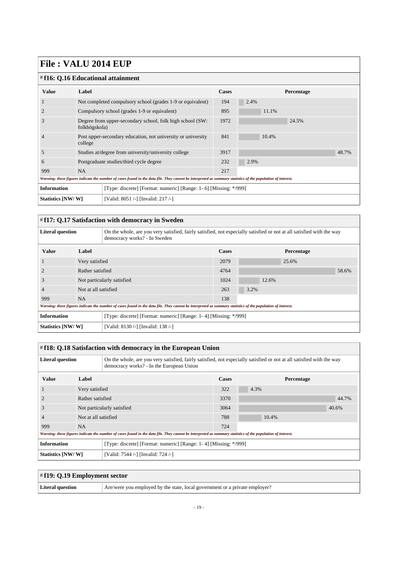## $\frac{1}{4}$ **f16**:  $\Omega$  16 Educational attain

| # f16: 0.16 Educational attainment                                                      |                                                                         |                                                                                                                                                             |              |            |  |  |
|-----------------------------------------------------------------------------------------|-------------------------------------------------------------------------|-------------------------------------------------------------------------------------------------------------------------------------------------------------|--------------|------------|--|--|
| <b>Value</b>                                                                            | Label                                                                   |                                                                                                                                                             | <b>Cases</b> | Percentage |  |  |
|                                                                                         |                                                                         | Not completed compulsory school (grades 1-9 or equivalent)                                                                                                  | 194          | 2.4%       |  |  |
|                                                                                         |                                                                         | Compulsory school (grades 1-9 or equivalent)                                                                                                                | 895          | 11.1%      |  |  |
| 3                                                                                       | folkhögskola)                                                           | Degree from upper-secondary school, folk high school (SW:                                                                                                   | 1972         | 24.5%      |  |  |
| $\overline{4}$                                                                          | Post upper-secondary education, not university or university<br>college |                                                                                                                                                             | 841          | 10.4%      |  |  |
| 5                                                                                       |                                                                         | Studies at/degree from university/university college                                                                                                        | 3917         | 48.7%      |  |  |
| 6                                                                                       |                                                                         | Postgraduate studies/third cycle degree                                                                                                                     | 232          | 2.9%       |  |  |
| 999                                                                                     | <b>NA</b>                                                               |                                                                                                                                                             | 217          |            |  |  |
|                                                                                         |                                                                         | Warning: these figures indicate the number of cases found in the data file. They cannot be interpreted as summary statistics of the population of interest. |              |            |  |  |
| <b>Information</b><br>[Type: discrete] [Format: numeric] [Range: 1- 6] [Missing: */999] |                                                                         |                                                                                                                                                             |              |            |  |  |
| [Valid: 8051 /-] [Invalid: 217 /-]<br>Statistics [NW/W]                                 |                                                                         |                                                                                                                                                             |              |            |  |  |

#### <span id="page-18-0"></span># **f17: Q.17 Satisfaction with democracy in Sweden**

| <b>Literal question</b> |                                                                                                                                                             | On the whole, are you very satisfied, fairly satisfied, not especially satisfied or not at all satisfied with the way<br>democracy works? - In Sweden |              |            |       |  |  |
|-------------------------|-------------------------------------------------------------------------------------------------------------------------------------------------------------|-------------------------------------------------------------------------------------------------------------------------------------------------------|--------------|------------|-------|--|--|
| <b>Value</b>            | Label                                                                                                                                                       |                                                                                                                                                       | <b>Cases</b> | Percentage |       |  |  |
|                         | Very satisfied                                                                                                                                              |                                                                                                                                                       | 2079         | 25.6%      |       |  |  |
|                         | Rather satisfied                                                                                                                                            |                                                                                                                                                       | 4764         |            | 58.6% |  |  |
| 3                       | Not particularly satisfied                                                                                                                                  |                                                                                                                                                       | 1024         | 12.6%      |       |  |  |
| $\overline{4}$          | Not at all satisfied                                                                                                                                        |                                                                                                                                                       | 263          | 3.2%       |       |  |  |
| 999                     | <b>NA</b>                                                                                                                                                   |                                                                                                                                                       | 138          |            |       |  |  |
|                         | Warning: these figures indicate the number of cases found in the data file. They cannot be interpreted as summary statistics of the population of interest. |                                                                                                                                                       |              |            |       |  |  |
| <b>Information</b>      |                                                                                                                                                             | [Type: discrete] [Format: numeric] [Range: 1-4] [Missing: */999]                                                                                      |              |            |       |  |  |
| Statistics [NW/W]       |                                                                                                                                                             | [Valid: 8130 /-] [Invalid: 138 /-]                                                                                                                    |              |            |       |  |  |

<span id="page-18-1"></span>

| # f18: Q.18 Satisfaction with democracy in the European Union |                      |                                                                                                                                                                   |              |            |       |  |  |
|---------------------------------------------------------------|----------------------|-------------------------------------------------------------------------------------------------------------------------------------------------------------------|--------------|------------|-------|--|--|
| <b>Literal question</b>                                       |                      | On the whole, are you very satisfied, fairly satisfied, not especially satisfied or not at all satisfied with the way<br>democracy works? - In the European Union |              |            |       |  |  |
| <b>Value</b>                                                  | Label                |                                                                                                                                                                   | <b>Cases</b> | Percentage |       |  |  |
|                                                               | Very satisfied       |                                                                                                                                                                   | 322          | 4.3%       |       |  |  |
|                                                               | Rather satisfied     |                                                                                                                                                                   | 3370         |            | 44.7% |  |  |
| 3                                                             |                      | Not particularly satisfied                                                                                                                                        | 3064         |            | 40.6% |  |  |
| $\overline{4}$                                                | Not at all satisfied |                                                                                                                                                                   | 788          | 10.4%      |       |  |  |
| 999                                                           | <b>NA</b>            |                                                                                                                                                                   | 724          |            |       |  |  |
|                                                               |                      | Warning: these figures indicate the number of cases found in the data file. They cannot be interpreted as summary statistics of the population of interest.       |              |            |       |  |  |
| <b>Information</b>                                            |                      | [Type: discrete] [Format: numeric] [Range: 1-4] [Missing: */999]                                                                                                  |              |            |       |  |  |
| Statistics [NW/W]                                             |                      | [Valid: 7544 /-] [Invalid: 724 /-]                                                                                                                                |              |            |       |  |  |

<span id="page-18-2"></span>

| $\#$ f19: Q.19 Employment sector |                                                                             |  |  |  |
|----------------------------------|-----------------------------------------------------------------------------|--|--|--|
| Literal question                 | Are/were you employed by the state, local government or a private employer? |  |  |  |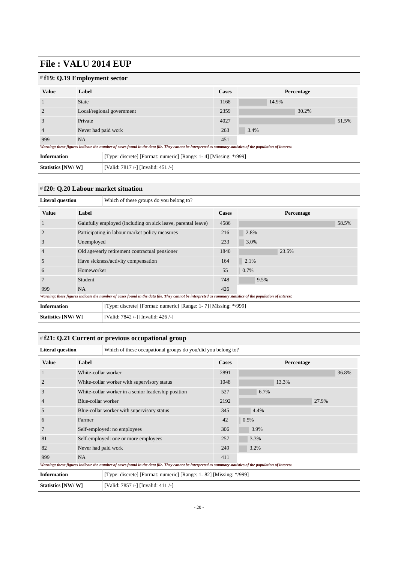| 1 11V • • 1 11J V 2 1V 1 1 1 1 V 1 |                           |                                                                                                                                                             |       |       |            |       |
|------------------------------------|---------------------------|-------------------------------------------------------------------------------------------------------------------------------------------------------------|-------|-------|------------|-------|
| $\#$ f19: Q.19 Employment sector   |                           |                                                                                                                                                             |       |       |            |       |
| <b>Value</b>                       | Label                     |                                                                                                                                                             | Cases |       | Percentage |       |
|                                    | <b>State</b>              |                                                                                                                                                             | 1168  | 14.9% |            |       |
|                                    | Local/regional government |                                                                                                                                                             | 2359  |       | 30.2%      |       |
| 3                                  | Private                   |                                                                                                                                                             | 4027  |       |            | 51.5% |
| 4                                  | Never had paid work       |                                                                                                                                                             | 263   | 3.4%  |            |       |
| 999                                | <b>NA</b>                 |                                                                                                                                                             | 451   |       |            |       |
|                                    |                           | Warning: these figures indicate the number of cases found in the data file. They cannot be interpreted as summary statistics of the population of interest. |       |       |            |       |
| <b>Information</b>                 |                           | [Type: discrete] [Format: numeric] [Range: 1-4] [Missing: */999]                                                                                            |       |       |            |       |
| Statistics [NW/W]                  |                           | [Valid: 7817 /-] [Invalid: 451 /-]                                                                                                                          |       |       |            |       |

#### <span id="page-19-0"></span># **f20: Q.20 Labour market situation**

| <b>Literal question</b><br>Which of these groups do you belong to?                     |                                                |                                                                                                                                                             |              |            |       |
|----------------------------------------------------------------------------------------|------------------------------------------------|-------------------------------------------------------------------------------------------------------------------------------------------------------------|--------------|------------|-------|
| <b>Value</b>                                                                           | Label                                          |                                                                                                                                                             | <b>Cases</b> | Percentage |       |
|                                                                                        |                                                | Gainfully employed (including on sick leave, parental leave)                                                                                                | 4586         |            | 58.5% |
| $\overline{2}$                                                                         |                                                | Participating in labour market policy measures                                                                                                              | 216          | 2.8%       |       |
| 3                                                                                      | Unemployed                                     |                                                                                                                                                             | 233          | 3.0%       |       |
| $\overline{4}$                                                                         | Old age/early retirement contractual pensioner |                                                                                                                                                             | 1840         | 23.5%      |       |
| 5                                                                                      |                                                | Have sickness/activity compensation                                                                                                                         | 164          | 2.1%       |       |
| 6                                                                                      | Homeworker                                     |                                                                                                                                                             | 55           | 0.7%       |       |
|                                                                                        | Student                                        |                                                                                                                                                             | 748          | 9.5%       |       |
| 999                                                                                    | <b>NA</b>                                      |                                                                                                                                                             | 426          |            |       |
|                                                                                        |                                                | Warning: these figures indicate the number of cases found in the data file. They cannot be interpreted as summary statistics of the population of interest. |              |            |       |
| <b>Information</b><br>[Type: discrete] [Format: numeric] [Range: 1-7] [Missing: */999] |                                                |                                                                                                                                                             |              |            |       |
| Statistics [NW/W]<br>[Valid: 7842 /-] [Invalid: 426 /-]                                |                                                |                                                                                                                                                             |              |            |       |

### <span id="page-19-1"></span># **f21: Q.21 Current or previous occupational group**

| <b>Literal question</b> |                                            | Which of these occupational groups do you/did you belong to?                                                                                                |              |            |       |  |  |
|-------------------------|--------------------------------------------|-------------------------------------------------------------------------------------------------------------------------------------------------------------|--------------|------------|-------|--|--|
| <b>Value</b>            | Label                                      |                                                                                                                                                             | <b>Cases</b> | Percentage |       |  |  |
| $\mathbf{I}$            | White-collar worker                        |                                                                                                                                                             | 2891         |            | 36.8% |  |  |
| $\overline{2}$          |                                            | White-collar worker with supervisory status                                                                                                                 | 1048         | 13.3%      |       |  |  |
| 3                       |                                            | White-collar worker in a senior leadership position                                                                                                         | 527          | 6.7%       |       |  |  |
| $\overline{4}$          | Blue-collar worker                         |                                                                                                                                                             | 2192         |            | 27.9% |  |  |
| 5                       | Blue-collar worker with supervisory status |                                                                                                                                                             | 345          | 4.4%       |       |  |  |
| $\mathfrak b$           | Farmer                                     |                                                                                                                                                             | 42           | 0.5%       |       |  |  |
| 7                       |                                            | Self-employed: no employees                                                                                                                                 | 306          | 3.9%       |       |  |  |
| 81                      |                                            | Self-employed: one or more employees                                                                                                                        | 257          | 3.3%       |       |  |  |
| 82                      | Never had paid work                        |                                                                                                                                                             | 249          | 3.2%       |       |  |  |
| 999                     | <b>NA</b>                                  |                                                                                                                                                             | 411          |            |       |  |  |
|                         |                                            | Warning: these figures indicate the number of cases found in the data file. They cannot be interpreted as summary statistics of the population of interest. |              |            |       |  |  |
| <b>Information</b>      |                                            | [Type: discrete] [Format: numeric] [Range: 1-82] [Missing: */999]                                                                                           |              |            |       |  |  |
| Statistics [NW/W]       |                                            | [Valid: 7857 /-] [Invalid: 411 /-]                                                                                                                          |              |            |       |  |  |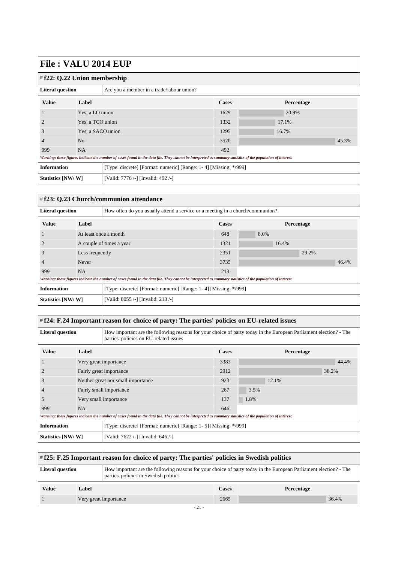<span id="page-20-0"></span>

| 1 110   TILLO 201   DOI       |                   |                                                                                                                                                             |              |            |       |  |
|-------------------------------|-------------------|-------------------------------------------------------------------------------------------------------------------------------------------------------------|--------------|------------|-------|--|
| $#f22: Q.22$ Union membership |                   |                                                                                                                                                             |              |            |       |  |
| <b>Literal question</b>       |                   | Are you a member in a trade/labour union?                                                                                                                   |              |            |       |  |
| <b>Value</b>                  | Label             |                                                                                                                                                             | <b>Cases</b> | Percentage |       |  |
|                               | Yes, a LO union   |                                                                                                                                                             | 1629         | 20.9%      |       |  |
| $\overline{2}$                | Yes, a TCO union  |                                                                                                                                                             | 1332         | 17.1%      |       |  |
| 3                             | Yes, a SACO union |                                                                                                                                                             | 1295         | 16.7%      |       |  |
| $\overline{4}$                | N <sub>o</sub>    |                                                                                                                                                             | 3520         |            | 45.3% |  |
| 999                           | <b>NA</b>         |                                                                                                                                                             | 492          |            |       |  |
|                               |                   | Warning: these figures indicate the number of cases found in the data file. They cannot be interpreted as summary statistics of the population of interest. |              |            |       |  |
| <b>Information</b>            |                   | [Type: discrete] [Format: numeric] [Range: 1-4] [Missing: */999]                                                                                            |              |            |       |  |
| Statistics [NW/W]             |                   | [Valid: 7776 /-] [Invalid: 492 /-]                                                                                                                          |              |            |       |  |

<span id="page-20-1"></span>

| #f23: Q.23 Church/communion attendance |                          |                                                                                                                                                             |      |            |       |       |  |
|----------------------------------------|--------------------------|-------------------------------------------------------------------------------------------------------------------------------------------------------------|------|------------|-------|-------|--|
| <b>Literal question</b>                |                          | How often do you usually attend a service or a meeting in a church/communion?                                                                               |      |            |       |       |  |
| <b>Value</b>                           | Label                    |                                                                                                                                                             |      | Percentage |       |       |  |
|                                        | At least once a month    |                                                                                                                                                             | 648  | 8.0%       |       |       |  |
|                                        | A couple of times a year |                                                                                                                                                             | 1321 | 16.4%      |       |       |  |
| 3                                      | Less frequently          |                                                                                                                                                             | 2351 |            | 29.2% |       |  |
| $\overline{4}$                         | Never                    |                                                                                                                                                             | 3735 |            |       | 46.4% |  |
| 999                                    | <b>NA</b>                |                                                                                                                                                             | 213  |            |       |       |  |
|                                        |                          | Warning: these figures indicate the number of cases found in the data file. They cannot be interpreted as summary statistics of the population of interest. |      |            |       |       |  |
| <b>Information</b>                     |                          | [Type: discrete] [Format: numeric] [Range: 1-4] [Missing: */999]                                                                                            |      |            |       |       |  |
| Statistics [NW/W]                      |                          | [Valid: 8055 /-] [Invalid: 213 /-]                                                                                                                          |      |            |       |       |  |

### <span id="page-20-2"></span># **f24: F.24 Important reason for choice of party: The parties' policies on EU-related issues**

| <b>Literal question</b> |                                    | How important are the following reasons for your choice of party today in the European Parliament election? - The<br>parties' policies on EU-related issues |              |      |            |       |  |
|-------------------------|------------------------------------|-------------------------------------------------------------------------------------------------------------------------------------------------------------|--------------|------|------------|-------|--|
| <b>Value</b>            | Label                              |                                                                                                                                                             | <b>Cases</b> |      | Percentage |       |  |
|                         | Very great importance              |                                                                                                                                                             | 3383         |      |            | 44.4% |  |
|                         | Fairly great importance            |                                                                                                                                                             | 2912         |      |            | 38.2% |  |
| 3                       | Neither great nor small importance |                                                                                                                                                             | 923          |      | 12.1%      |       |  |
|                         |                                    | Fairly small importance                                                                                                                                     | 267          | 3.5% |            |       |  |
| 5                       |                                    | Very small importance                                                                                                                                       | 137          | 1.8% |            |       |  |
| 999                     | <b>NA</b>                          |                                                                                                                                                             | 646          |      |            |       |  |
|                         |                                    | Warning: these figures indicate the number of cases found in the data file. They cannot be interpreted as summary statistics of the population of interest. |              |      |            |       |  |
| <b>Information</b>      |                                    | [Type: discrete] [Format: numeric] [Range: 1- 5] [Missing: */999]                                                                                           |              |      |            |       |  |
| Statistics [NW/W]       |                                    | [Valid: 7622 /-] [Invalid: 646 /-]                                                                                                                          |              |      |            |       |  |

<span id="page-20-3"></span>

| $\#$ f25: F.25 Important reason for choice of party: The parties' policies in Swedish politics |       |                       |              |                                                                                                                   |  |  |
|------------------------------------------------------------------------------------------------|-------|-----------------------|--------------|-------------------------------------------------------------------------------------------------------------------|--|--|
| <b>Literal question</b><br>parties' policies in Swedish politics                               |       |                       |              | How important are the following reasons for your choice of party today in the European Parliament election? - The |  |  |
| <b>Value</b>                                                                                   | Label |                       | <b>Cases</b> | Percentage                                                                                                        |  |  |
|                                                                                                |       | Very great importance | 2665         | 36.4%                                                                                                             |  |  |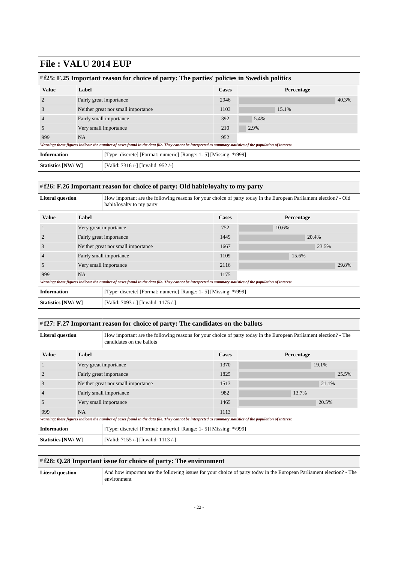| # f25: F.25 Important reason for choice of party: The parties' policies in Swedish politics |           |                                                                                                                                                             |              |            |       |  |
|---------------------------------------------------------------------------------------------|-----------|-------------------------------------------------------------------------------------------------------------------------------------------------------------|--------------|------------|-------|--|
| <b>Value</b>                                                                                | Label     |                                                                                                                                                             | <b>Cases</b> | Percentage |       |  |
|                                                                                             |           | Fairly great importance                                                                                                                                     | 2946         |            | 40.3% |  |
| J.                                                                                          |           | Neither great nor small importance                                                                                                                          | 1103         | 15.1%      |       |  |
|                                                                                             |           | Fairly small importance                                                                                                                                     |              | 5.4%       |       |  |
| 5                                                                                           |           | Very small importance                                                                                                                                       | 210          | 2.9%       |       |  |
| 999                                                                                         | <b>NA</b> |                                                                                                                                                             | 952          |            |       |  |
|                                                                                             |           | Warning: these figures indicate the number of cases found in the data file. They cannot be interpreted as summary statistics of the population of interest. |              |            |       |  |
| <b>Information</b>                                                                          |           | [Type: discrete] [Format: numeric] [Range: 1- 5] [Missing: */999]                                                                                           |              |            |       |  |
| Statistics [NW/W]                                                                           |           | [Valid: 7316 /-] [Invalid: 952 /-]                                                                                                                          |              |            |       |  |

#### <span id="page-21-0"></span># **f26: F.26 Important reason for choice of party: Old habit/loyalty to my party**

| <b>Literal question</b> |                                    | How important are the following reasons for your choice of party today in the European Parliament election? - Old<br>habit/loyalty to my party              |              |            |  |  |
|-------------------------|------------------------------------|-------------------------------------------------------------------------------------------------------------------------------------------------------------|--------------|------------|--|--|
| <b>Value</b>            | Label                              |                                                                                                                                                             | <b>Cases</b> | Percentage |  |  |
|                         | Very great importance              |                                                                                                                                                             | 752          | 10.6%      |  |  |
|                         | Fairly great importance            |                                                                                                                                                             | 1449         | 20.4%      |  |  |
| 3                       | Neither great nor small importance |                                                                                                                                                             | 1667         | 23.5%      |  |  |
| $\overline{4}$          |                                    | Fairly small importance                                                                                                                                     | 1109         | 15.6%      |  |  |
| .5                      |                                    | Very small importance                                                                                                                                       | 2116         | 29.8%      |  |  |
| 999                     | <b>NA</b>                          |                                                                                                                                                             | 1175         |            |  |  |
|                         |                                    | Warning: these figures indicate the number of cases found in the data file. They cannot be interpreted as summary statistics of the population of interest. |              |            |  |  |
| <b>Information</b>      |                                    | [Type: discrete] [Format: numeric] [Range: 1- 5] [Missing: */999]                                                                                           |              |            |  |  |
| Statistics [NW/W]       |                                    | [Valid: 7093 /-] [Invalid: 1175 /-]                                                                                                                         |              |            |  |  |

#### <span id="page-21-1"></span># **f27: F.27 Important reason for choice of party: The candidates on the ballots**

| <b>Literal question</b> |                         | How important are the following reasons for your choice of party today in the European Parliament election? - The<br>candidates on the ballots              |              |            |  |  |
|-------------------------|-------------------------|-------------------------------------------------------------------------------------------------------------------------------------------------------------|--------------|------------|--|--|
| <b>Value</b>            | Label                   |                                                                                                                                                             | <b>Cases</b> | Percentage |  |  |
|                         |                         | Very great importance                                                                                                                                       | 1370         | 19.1%      |  |  |
| $\overline{2}$          |                         | Fairly great importance                                                                                                                                     | 1825         | 25.5%      |  |  |
| 3                       |                         | Neither great nor small importance                                                                                                                          | 1513         | 21.1%      |  |  |
| 4                       | Fairly small importance |                                                                                                                                                             | 982          | 13.7%      |  |  |
| 5                       |                         | Very small importance                                                                                                                                       | 1465         | 20.5%      |  |  |
| 999                     | <b>NA</b>               |                                                                                                                                                             | 1113         |            |  |  |
|                         |                         | Warning: these figures indicate the number of cases found in the data file. They cannot be interpreted as summary statistics of the population of interest. |              |            |  |  |
| <b>Information</b>      |                         | [Type: discrete] [Format: numeric] [Range: 1- 5] [Missing: */999]                                                                                           |              |            |  |  |
| Statistics [NW/W]       |                         | [Valid: 7155 /-] [Invalid: 1113 /-]                                                                                                                         |              |            |  |  |

#### <span id="page-21-2"></span># **f28: Q.28 Important issue for choice of party: The environment**

| <b>Literal question</b> | And how important are the following issues for your choice of party today in the European Parliament election? - The |
|-------------------------|----------------------------------------------------------------------------------------------------------------------|
|                         | environment                                                                                                          |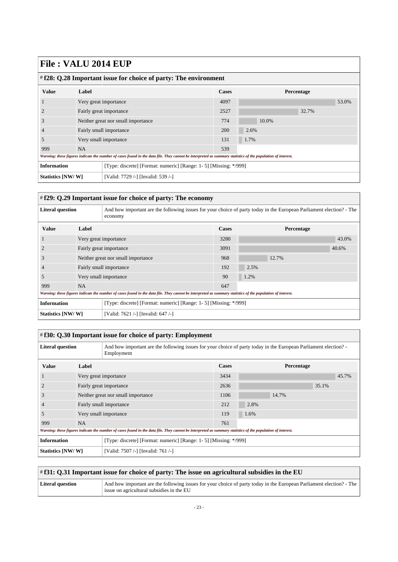| $\#$ f28: Q.28 Important issue for choice of party: The environment |                                    |                                                                                                                                                             |              |            |       |       |       |
|---------------------------------------------------------------------|------------------------------------|-------------------------------------------------------------------------------------------------------------------------------------------------------------|--------------|------------|-------|-------|-------|
| <b>Value</b>                                                        | Label                              |                                                                                                                                                             | <b>Cases</b> | Percentage |       |       |       |
|                                                                     | Very great importance              |                                                                                                                                                             | 4097         |            |       |       | 53.0% |
|                                                                     | Fairly great importance            |                                                                                                                                                             | 2527         |            |       | 32.7% |       |
| 3                                                                   | Neither great nor small importance |                                                                                                                                                             | 774          |            | 10.0% |       |       |
|                                                                     |                                    | Fairly small importance                                                                                                                                     | 200          | 2.6%       |       |       |       |
| 5                                                                   |                                    | Very small importance                                                                                                                                       | 131          | 1.7%       |       |       |       |
| 999                                                                 | <b>NA</b>                          |                                                                                                                                                             | 539          |            |       |       |       |
|                                                                     |                                    | Warning: these figures indicate the number of cases found in the data file. They cannot be interpreted as summary statistics of the population of interest. |              |            |       |       |       |
| <b>Information</b>                                                  |                                    | [Type: discrete] [Format: numeric] [Range: 1- 5] [Missing: */999]                                                                                           |              |            |       |       |       |
| Statistics [NW/W]                                                   |                                    | [Valid: 7729 /-] [Invalid: 539 /-]                                                                                                                          |              |            |       |       |       |

### <span id="page-22-0"></span># **f29: Q.29 Important issue for choice of party: The economy**

| <b>Literal question</b> |                                    | And how important are the following issues for your choice of party today in the European Parliament election? - The<br>economy                             |              |            |       |  |
|-------------------------|------------------------------------|-------------------------------------------------------------------------------------------------------------------------------------------------------------|--------------|------------|-------|--|
| <b>Value</b>            | Label                              |                                                                                                                                                             | <b>Cases</b> | Percentage |       |  |
|                         | Very great importance              |                                                                                                                                                             | 3280         |            | 43.0% |  |
|                         | Fairly great importance            |                                                                                                                                                             |              |            | 40.6% |  |
| 3                       | Neither great nor small importance |                                                                                                                                                             | 968          | 12.7%      |       |  |
| $\overline{4}$          |                                    | Fairly small importance                                                                                                                                     | 192          | 2.5%       |       |  |
| .5                      |                                    | Very small importance                                                                                                                                       | 90           | 1.2%       |       |  |
| 999                     | <b>NA</b>                          |                                                                                                                                                             | 647          |            |       |  |
|                         |                                    | Warning: these figures indicate the number of cases found in the data file. They cannot be interpreted as summary statistics of the population of interest. |              |            |       |  |
| <b>Information</b>      |                                    | [Type: discrete] [Format: numeric] [Range: 1-5] [Missing: */999]                                                                                            |              |            |       |  |
| Statistics [NW/W]       |                                    | [Valid: 7621 /-] [Invalid: 647 /-]                                                                                                                          |              |            |       |  |

<span id="page-22-1"></span>

| # f30: Q.30 Important issue for choice of party: Employment                             |                                    |                                                                                                                                                             |              |            |       |  |  |  |
|-----------------------------------------------------------------------------------------|------------------------------------|-------------------------------------------------------------------------------------------------------------------------------------------------------------|--------------|------------|-------|--|--|--|
| <b>Literal question</b>                                                                 |                                    | And how important are the following issues for your choice of party today in the European Parliament election?<br>Employment                                |              |            |       |  |  |  |
| <b>Value</b>                                                                            | Label                              |                                                                                                                                                             | <b>Cases</b> | Percentage |       |  |  |  |
|                                                                                         |                                    | Very great importance                                                                                                                                       | 3434         |            | 45.7% |  |  |  |
|                                                                                         | Fairly great importance            |                                                                                                                                                             | 2636         |            | 35.1% |  |  |  |
| 3                                                                                       | Neither great nor small importance |                                                                                                                                                             | 1106         | 14.7%      |       |  |  |  |
|                                                                                         |                                    | Fairly small importance                                                                                                                                     | 212          | 2.8%       |       |  |  |  |
| 5                                                                                       |                                    | Very small importance                                                                                                                                       | 119          | 1.6%       |       |  |  |  |
| 999                                                                                     | <b>NA</b>                          |                                                                                                                                                             | 761          |            |       |  |  |  |
|                                                                                         |                                    | Warning: these figures indicate the number of cases found in the data file. They cannot be interpreted as summary statistics of the population of interest. |              |            |       |  |  |  |
| <b>Information</b><br>[Type: discrete] [Format: numeric] [Range: 1- 5] [Missing: */999] |                                    |                                                                                                                                                             |              |            |       |  |  |  |
| Statistics [NW/W]                                                                       |                                    | [Valid: 7507 /-] [Invalid: 761 /-]                                                                                                                          |              |            |       |  |  |  |

<span id="page-22-2"></span>

| $\#$ f31: Q.31 Important issue for choice of party: The issue on agricultural subsidies in the EU |                                                                                                                                                                   |  |  |  |
|---------------------------------------------------------------------------------------------------|-------------------------------------------------------------------------------------------------------------------------------------------------------------------|--|--|--|
| Literal question                                                                                  | And how important are the following issues for your choice of party today in the European Parliament election? - The<br>issue on agricultural subsidies in the EU |  |  |  |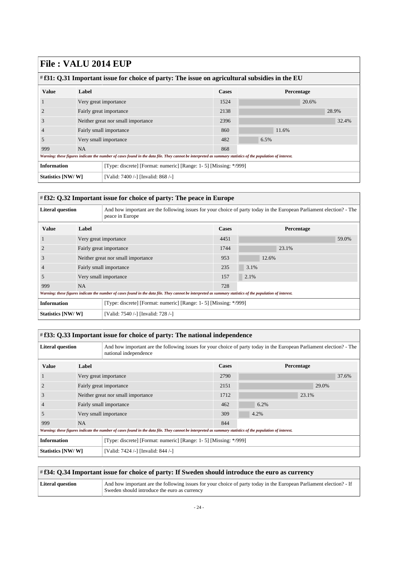| # f31: Q.31 Important issue for choice of party: The issue on agricultural subsidies in the EU |                                    |                                                                                                                                                             |              |            |       |  |
|------------------------------------------------------------------------------------------------|------------------------------------|-------------------------------------------------------------------------------------------------------------------------------------------------------------|--------------|------------|-------|--|
| <b>Value</b>                                                                                   | Label                              |                                                                                                                                                             | <b>Cases</b> | Percentage |       |  |
|                                                                                                |                                    | Very great importance                                                                                                                                       | 1524         | 20.6%      |       |  |
|                                                                                                | Fairly great importance            |                                                                                                                                                             | 2138         |            | 28.9% |  |
| 3                                                                                              | Neither great nor small importance |                                                                                                                                                             | 2396         |            | 32.4% |  |
|                                                                                                |                                    | Fairly small importance                                                                                                                                     | 860          | 11.6%      |       |  |
| 5                                                                                              |                                    | Very small importance                                                                                                                                       | 482          | 6.5%       |       |  |
| 999                                                                                            | <b>NA</b>                          |                                                                                                                                                             | 868          |            |       |  |
|                                                                                                |                                    | Warning: these figures indicate the number of cases found in the data file. They cannot be interpreted as summary statistics of the population of interest. |              |            |       |  |
| <b>Information</b>                                                                             |                                    | [Type: discrete] [Format: numeric] [Range: 1- 5] [Missing: */999]                                                                                           |              |            |       |  |
| Statistics [NW/W]                                                                              |                                    | [Valid: 7400 /-] [Invalid: 868 /-]                                                                                                                          |              |            |       |  |

### <span id="page-23-0"></span># **f32: Q.32 Important issue for choice of party: The peace in Europe**

| <b>Literal question</b> |                                    | And how important are the following issues for your choice of party today in the European Parliament election? - The<br>peace in Europe                     |              |            |       |  |
|-------------------------|------------------------------------|-------------------------------------------------------------------------------------------------------------------------------------------------------------|--------------|------------|-------|--|
| <b>Value</b>            | Label                              |                                                                                                                                                             | <b>Cases</b> | Percentage |       |  |
|                         | Very great importance              |                                                                                                                                                             | 4451         |            | 59.0% |  |
|                         | Fairly great importance            |                                                                                                                                                             | 1744         | 23.1%      |       |  |
| 3                       | Neither great nor small importance |                                                                                                                                                             | 953          | 12.6%      |       |  |
| $\overline{4}$          |                                    | Fairly small importance                                                                                                                                     | 235          | 3.1%       |       |  |
| .5                      |                                    | Very small importance                                                                                                                                       | 157          | 2.1%       |       |  |
| 999                     | NA.                                |                                                                                                                                                             | 728          |            |       |  |
|                         |                                    | Warning: these figures indicate the number of cases found in the data file. They cannot be interpreted as summary statistics of the population of interest. |              |            |       |  |
| <b>Information</b>      |                                    | [Type: discrete] [Format: numeric] [Range: 1-5] [Missing: */999]                                                                                            |              |            |       |  |
| Statistics [NW/W]       |                                    | [Valid: 7540 /-] [Invalid: 728 /-]                                                                                                                          |              |            |       |  |

<span id="page-23-1"></span>

| # f33: Q.33 Important issue for choice of party: The national independence              |                                    |                                                                                                                                                             |              |  |                   |       |       |       |
|-----------------------------------------------------------------------------------------|------------------------------------|-------------------------------------------------------------------------------------------------------------------------------------------------------------|--------------|--|-------------------|-------|-------|-------|
| <b>Literal question</b>                                                                 |                                    | And how important are the following issues for your choice of party today in the European Parliament election? - The<br>national independence               |              |  |                   |       |       |       |
| <b>Value</b>                                                                            | Label                              |                                                                                                                                                             | <b>Cases</b> |  | <b>Percentage</b> |       |       |       |
|                                                                                         |                                    | Very great importance                                                                                                                                       | 2790         |  |                   |       |       | 37.6% |
|                                                                                         | Fairly great importance            |                                                                                                                                                             | 2151         |  |                   |       | 29.0% |       |
| 3                                                                                       | Neither great nor small importance |                                                                                                                                                             | 1712         |  |                   | 23.1% |       |       |
|                                                                                         |                                    | Fairly small importance                                                                                                                                     | 462          |  | 6.2%              |       |       |       |
| 5                                                                                       |                                    | Very small importance                                                                                                                                       | 309          |  | 4.2%              |       |       |       |
| 999                                                                                     | <b>NA</b>                          |                                                                                                                                                             | 844          |  |                   |       |       |       |
|                                                                                         |                                    | Warning: these figures indicate the number of cases found in the data file. They cannot be interpreted as summary statistics of the population of interest. |              |  |                   |       |       |       |
| <b>Information</b><br>[Type: discrete] [Format: numeric] [Range: 1- 5] [Missing: */999] |                                    |                                                                                                                                                             |              |  |                   |       |       |       |
| Statistics [NW/W]<br>[Valid: 7424 /-] [Invalid: 844 /-]                                 |                                    |                                                                                                                                                             |              |  |                   |       |       |       |

<span id="page-23-2"></span>

| # f34: Q.34 Important issue for choice of party: If Sweden should introduce the euro as currency |                                                                                                                                                                     |  |
|--------------------------------------------------------------------------------------------------|---------------------------------------------------------------------------------------------------------------------------------------------------------------------|--|
| Literal question                                                                                 | And how important are the following issues for your choice of party today in the European Parliament election? - If<br>Sweden should introduce the euro as currency |  |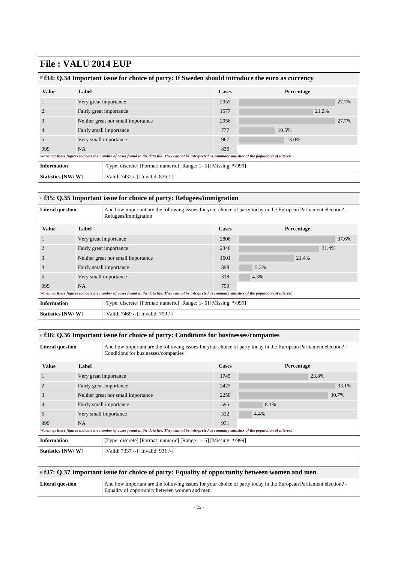| $\#$ f34: Q.34 Important issue for choice of party: If Sweden should introduce the euro as currency                                                         |                                    |                                                                   |              |  |            |       |       |
|-------------------------------------------------------------------------------------------------------------------------------------------------------------|------------------------------------|-------------------------------------------------------------------|--------------|--|------------|-------|-------|
| <b>Value</b>                                                                                                                                                | Label                              |                                                                   | <b>Cases</b> |  | Percentage |       |       |
|                                                                                                                                                             | Very great importance              |                                                                   | 2055         |  |            |       | 27.7% |
|                                                                                                                                                             |                                    | Fairly great importance                                           | 1577         |  |            | 21.2% |       |
| 3                                                                                                                                                           | Neither great nor small importance |                                                                   | 2056         |  |            |       | 27.7% |
|                                                                                                                                                             | Fairly small importance            |                                                                   | 777          |  | 10.5%      |       |       |
| 5                                                                                                                                                           |                                    | Very small importance                                             | 967          |  | 13.0%      |       |       |
| 999                                                                                                                                                         | <b>NA</b>                          |                                                                   | 836          |  |            |       |       |
| Warning: these figures indicate the number of cases found in the data file. They cannot be interpreted as summary statistics of the population of interest. |                                    |                                                                   |              |  |            |       |       |
| <b>Information</b>                                                                                                                                          |                                    | [Type: discrete] [Format: numeric] [Range: 1- 5] [Missing: */999] |              |  |            |       |       |
| Statistics [NW/W]                                                                                                                                           |                                    | [Valid: 7432 /-] [Invalid: 836 /-]                                |              |  |            |       |       |

### <span id="page-24-0"></span># **f35: Q.35 Important issue for choice of party: Refugees/immigration**

| <b>Literal question</b><br>And how important are the following issues for your choice of party today in the European Parliament election?<br>Refugees/immigration |                                    |                                                                   |              |            |
|-------------------------------------------------------------------------------------------------------------------------------------------------------------------|------------------------------------|-------------------------------------------------------------------|--------------|------------|
| <b>Value</b>                                                                                                                                                      | Label                              |                                                                   | <b>Cases</b> | Percentage |
|                                                                                                                                                                   | Very great importance              |                                                                   | 2806         | 37.6%      |
|                                                                                                                                                                   |                                    | Fairly great importance                                           | 2346         | 31.4%      |
| 3                                                                                                                                                                 | Neither great nor small importance |                                                                   | 1601         | 21.4%      |
|                                                                                                                                                                   |                                    | Fairly small importance                                           | 398          | 5.3%       |
| 5                                                                                                                                                                 |                                    | Very small importance                                             | 318          | 4.3%       |
| 999                                                                                                                                                               | <b>NA</b>                          |                                                                   | 799          |            |
| Warning: these figures indicate the number of cases found in the data file. They cannot be interpreted as summary statistics of the population of interest.       |                                    |                                                                   |              |            |
| <b>Information</b>                                                                                                                                                |                                    | [Type: discrete] [Format: numeric] [Range: 1- 5] [Missing: */999] |              |            |
| Statistics [NW/W]<br>[Valid: 7469 /-] [Invalid: 799 /-]                                                                                                           |                                    |                                                                   |              |            |

<span id="page-24-1"></span>

| #f36: Q.36 Important issue for choice of party: Conditions for businesses/companies                                                                                              |                                                                                                                                                             |                                                                   |              |            |       |
|----------------------------------------------------------------------------------------------------------------------------------------------------------------------------------|-------------------------------------------------------------------------------------------------------------------------------------------------------------|-------------------------------------------------------------------|--------------|------------|-------|
| <b>Literal question</b><br>And how important are the following issues for your choice of party today in the European Parliament election?<br>Conditions for businesses/companies |                                                                                                                                                             |                                                                   |              |            |       |
| <b>Value</b>                                                                                                                                                                     | Label                                                                                                                                                       |                                                                   | <b>Cases</b> | Percentage |       |
|                                                                                                                                                                                  | Very great importance                                                                                                                                       |                                                                   | 1745         |            | 23.8% |
|                                                                                                                                                                                  | Fairly great importance                                                                                                                                     |                                                                   | 2425         |            | 33.1% |
|                                                                                                                                                                                  | Neither great nor small importance                                                                                                                          |                                                                   | 2250         |            | 30.7% |
|                                                                                                                                                                                  |                                                                                                                                                             | Fairly small importance                                           | 595          | 8.1%       |       |
| 5                                                                                                                                                                                |                                                                                                                                                             | Very small importance                                             | 322          | 4.4%       |       |
| 999                                                                                                                                                                              | <b>NA</b>                                                                                                                                                   |                                                                   | 931          |            |       |
|                                                                                                                                                                                  | Warning: these figures indicate the number of cases found in the data file. They cannot be interpreted as summary statistics of the population of interest. |                                                                   |              |            |       |
| <b>Information</b>                                                                                                                                                               |                                                                                                                                                             | [Type: discrete] [Format: numeric] [Range: 1- 5] [Missing: */999] |              |            |       |
| Statistics [NW/W]                                                                                                                                                                |                                                                                                                                                             | [Valid: 7337 /-] [Invalid: 931 /-]                                |              |            |       |

<span id="page-24-2"></span>

| $\#$ f37: Q.37 Important issue for choice of party: Equality of opportunity between women and men |                                                                                                                                                                 |  |
|---------------------------------------------------------------------------------------------------|-----------------------------------------------------------------------------------------------------------------------------------------------------------------|--|
| Literal question                                                                                  | And how important are the following issues for your choice of party today in the European Parliament election?<br>Equality of opportunity between women and men |  |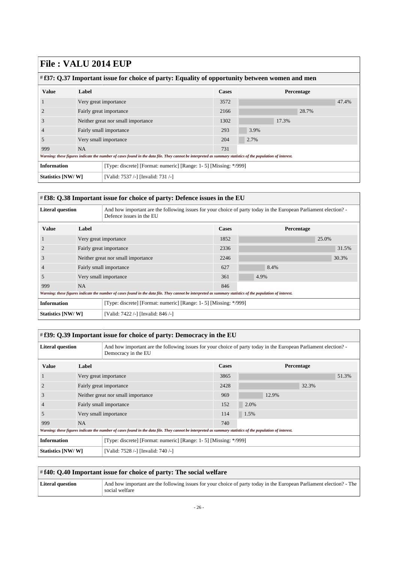| $#f37: Q.37$ Important issue for choice of party: Equality of opportunity between women and men                                                             |                                    |                         |              |       |            |
|-------------------------------------------------------------------------------------------------------------------------------------------------------------|------------------------------------|-------------------------|--------------|-------|------------|
| <b>Value</b>                                                                                                                                                | Label                              |                         | <b>Cases</b> |       | Percentage |
|                                                                                                                                                             | Very great importance              |                         | 3572         |       | 47.4%      |
| $\overline{2}$                                                                                                                                              |                                    | Fairly great importance | 2166         |       | 28.7%      |
| 3                                                                                                                                                           | Neither great nor small importance |                         | 1302         | 17.3% |            |
| $\overline{4}$                                                                                                                                              | Fairly small importance            |                         | 293          | 3.9%  |            |
| 5                                                                                                                                                           |                                    | Very small importance   | 204          | 2.7%  |            |
| 999                                                                                                                                                         | <b>NA</b>                          |                         | 731          |       |            |
| Warning: these figures indicate the number of cases found in the data file. They cannot be interpreted as summary statistics of the population of interest. |                                    |                         |              |       |            |
| <b>Information</b><br>[Type: discrete] [Format: numeric] [Range: 1- 5] [Missing: */999]                                                                     |                                    |                         |              |       |            |
| Statistics [NW/W]<br>[Valid: 7537 /-] [Invalid: 731 /-]                                                                                                     |                                    |                         |              |       |            |

#### <span id="page-25-0"></span># **f38: Q.38 Important issue for choice of party: Defence issues in the EU**

| <b>Literal question</b><br>And how important are the following issues for your choice of party today in the European Parliament election?<br>Defence issues in the EU |                                    |                                                                   |              |            |  |
|-----------------------------------------------------------------------------------------------------------------------------------------------------------------------|------------------------------------|-------------------------------------------------------------------|--------------|------------|--|
| <b>Value</b>                                                                                                                                                          | Label                              |                                                                   | <b>Cases</b> | Percentage |  |
|                                                                                                                                                                       | Very great importance              |                                                                   | 1852         | 25.0%      |  |
|                                                                                                                                                                       | Fairly great importance            |                                                                   | 2336         | 31.5%      |  |
| 3                                                                                                                                                                     | Neither great nor small importance |                                                                   | 2246         | 30.3%      |  |
| 4                                                                                                                                                                     | Fairly small importance            |                                                                   | 627          | 8.4%       |  |
| 5                                                                                                                                                                     |                                    | Very small importance                                             | 361          | 4.9%       |  |
| 999                                                                                                                                                                   | <b>NA</b>                          |                                                                   | 846          |            |  |
| Warning: these figures indicate the number of cases found in the data file. They cannot be interpreted as summary statistics of the population of interest.           |                                    |                                                                   |              |            |  |
| <b>Information</b>                                                                                                                                                    |                                    | [Type: discrete] [Format: numeric] [Range: 1- 5] [Missing: */999] |              |            |  |
| Statistics [NW/W]                                                                                                                                                     |                                    | [Valid: 7422 /-] [Invalid: 846 /-]                                |              |            |  |

#### <span id="page-25-1"></span># **f39: Q.39 Important issue for choice of party: Democracy in the EU Literal question** And how important are the following issues for your choice of party today in the European Parliament election? Democracy in the EU **Value Label Cases Percentage** 1 Very great importance 3865 3865 51.3% 2 Fairly great importance 2428 2428 32.3% 3 Neither great nor small importance 969 12.9% 4 Fairly small importance 152 2.0% 5 Very small importance 114 1.5% 999 NA 740 *Warning: these figures indicate the number of cases found in the data file. They cannot be interpreted as summary statistics of the population of interest.* **Information** [Type: discrete] [Format: numeric] [Range: 1-5] [Missing: \*/999] **Statistics [NW/ W]** [Valid: 7528 /-] [Invalid: 740 /-]

<span id="page-25-2"></span>

| $\#f40$ : O.40 Important issue for choice of party: The social welfare |                                                                                                                                        |  |
|------------------------------------------------------------------------|----------------------------------------------------------------------------------------------------------------------------------------|--|
| Literal question                                                       | And how important are the following issues for your choice of party today in the European Parliament election? - The<br>social welfare |  |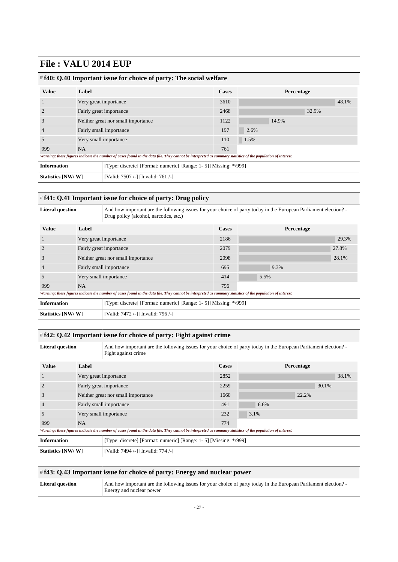| $\#$ f40: Q.40 Important issue for choice of party: The social welfare                                                                                      |                                    |                                                                   |              |      |            |       |       |
|-------------------------------------------------------------------------------------------------------------------------------------------------------------|------------------------------------|-------------------------------------------------------------------|--------------|------|------------|-------|-------|
| <b>Value</b>                                                                                                                                                | Label                              |                                                                   | <b>Cases</b> |      | Percentage |       |       |
|                                                                                                                                                             | Very great importance              |                                                                   | 3610         |      |            |       | 48.1% |
|                                                                                                                                                             | Fairly great importance            |                                                                   | 2468         |      |            | 32.9% |       |
| 3                                                                                                                                                           | Neither great nor small importance |                                                                   | 1122         |      | 14.9%      |       |       |
|                                                                                                                                                             |                                    | Fairly small importance                                           | 197          | 2.6% |            |       |       |
| 5                                                                                                                                                           | Very small importance              |                                                                   | 110          | 1.5% |            |       |       |
| 999                                                                                                                                                         | <b>NA</b>                          |                                                                   | 761          |      |            |       |       |
| Warning: these figures indicate the number of cases found in the data file. They cannot be interpreted as summary statistics of the population of interest. |                                    |                                                                   |              |      |            |       |       |
| <b>Information</b>                                                                                                                                          |                                    | [Type: discrete] [Format: numeric] [Range: 1- 5] [Missing: */999] |              |      |            |       |       |
| Statistics [NW/W]                                                                                                                                           |                                    | [Valid: 7507 /-] [Invalid: 761 /-]                                |              |      |            |       |       |

### <span id="page-26-0"></span># **f41: Q.41 Important issue for choice of party: Drug policy**

| <b>Literal question</b><br>And how important are the following issues for your choice of party today in the European Parliament election?<br>Drug policy (alcohol, narcotics, etc.) |                                                                                                                                                             |                                                                   |              |            |       |
|-------------------------------------------------------------------------------------------------------------------------------------------------------------------------------------|-------------------------------------------------------------------------------------------------------------------------------------------------------------|-------------------------------------------------------------------|--------------|------------|-------|
| <b>Value</b>                                                                                                                                                                        | Label                                                                                                                                                       |                                                                   | <b>Cases</b> | Percentage |       |
|                                                                                                                                                                                     | Very great importance                                                                                                                                       |                                                                   | 2186         |            | 29.3% |
| 2                                                                                                                                                                                   | Fairly great importance                                                                                                                                     |                                                                   | 2079         |            | 27.8% |
| 3                                                                                                                                                                                   | Neither great nor small importance                                                                                                                          |                                                                   | 2098         |            | 28.1% |
| 4                                                                                                                                                                                   |                                                                                                                                                             | Fairly small importance                                           | 695          | 9.3%       |       |
| 5                                                                                                                                                                                   |                                                                                                                                                             | Very small importance                                             | 414          | 5.5%       |       |
| 999                                                                                                                                                                                 | <b>NA</b>                                                                                                                                                   |                                                                   | 796          |            |       |
|                                                                                                                                                                                     | Warning: these figures indicate the number of cases found in the data file. They cannot be interpreted as summary statistics of the population of interest. |                                                                   |              |            |       |
| <b>Information</b>                                                                                                                                                                  |                                                                                                                                                             | [Type: discrete] [Format: numeric] [Range: 1- 5] [Missing: */999] |              |            |       |
| Statistics [NW/W]<br>[Valid: 7472 /-] [Invalid: 796 /-]                                                                                                                             |                                                                                                                                                             |                                                                   |              |            |       |

<span id="page-26-1"></span>

| # f42: Q.42 Important issue for choice of party: Fight against crime                                                                                             |                                    |                                    |              |      |            |       |
|------------------------------------------------------------------------------------------------------------------------------------------------------------------|------------------------------------|------------------------------------|--------------|------|------------|-------|
| <b>Literal question</b><br>And how important are the following issues for your choice of party today in the European Parliament election?<br>Fight against crime |                                    |                                    |              |      |            |       |
| <b>Value</b>                                                                                                                                                     | Label                              |                                    | <b>Cases</b> |      | Percentage |       |
|                                                                                                                                                                  |                                    | Very great importance              | 2852         |      |            | 38.1% |
|                                                                                                                                                                  | Fairly great importance            |                                    | 2259         |      | 30.1%      |       |
| 3                                                                                                                                                                | Neither great nor small importance |                                    | 1660         |      | 22.2%      |       |
|                                                                                                                                                                  |                                    | Fairly small importance            | 491          | 6.6% |            |       |
| 5                                                                                                                                                                |                                    | Very small importance              | 232          | 3.1% |            |       |
| 999                                                                                                                                                              | <b>NA</b>                          |                                    | 774          |      |            |       |
| Warning: these figures indicate the number of cases found in the data file. They cannot be interpreted as summary statistics of the population of interest.      |                                    |                                    |              |      |            |       |
| <b>Information</b><br>[Type: discrete] [Format: numeric] [Range: 1- 5] [Missing: */999]                                                                          |                                    |                                    |              |      |            |       |
| Statistics [NW/W]                                                                                                                                                |                                    | [Valid: 7494 /-] [Invalid: 774 /-] |              |      |            |       |

<span id="page-26-2"></span>

| $\#$ f43: Q.43 Important issue for choice of party: Energy and nuclear power |                                                                                                                                            |  |
|------------------------------------------------------------------------------|--------------------------------------------------------------------------------------------------------------------------------------------|--|
| Literal question                                                             | And how important are the following issues for your choice of party today in the European Parliament election?<br>Energy and nuclear power |  |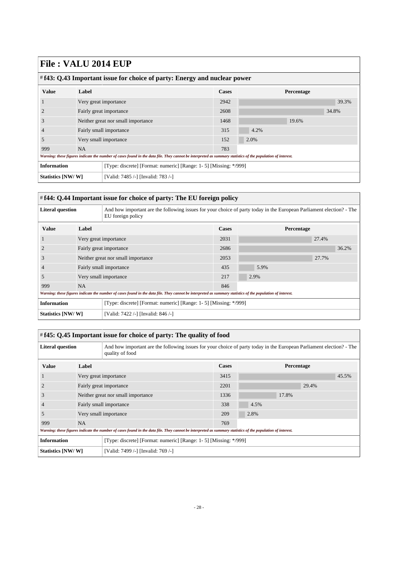| $\#$ f43: Q.43 Important issue for choice of party: Energy and nuclear power                                                                                |                                    |                                                                   |      |            |       |  |
|-------------------------------------------------------------------------------------------------------------------------------------------------------------|------------------------------------|-------------------------------------------------------------------|------|------------|-------|--|
| <b>Value</b>                                                                                                                                                | Label                              |                                                                   |      | Percentage |       |  |
|                                                                                                                                                             | Very great importance              |                                                                   | 2942 |            | 39.3% |  |
|                                                                                                                                                             | Fairly great importance            |                                                                   | 2608 |            | 34.8% |  |
| 3                                                                                                                                                           | Neither great nor small importance |                                                                   | 1468 | 19.6%      |       |  |
|                                                                                                                                                             | Fairly small importance            |                                                                   | 315  | 4.2%       |       |  |
| 5                                                                                                                                                           | Very small importance              |                                                                   | 152  | 2.0%       |       |  |
| 999                                                                                                                                                         | <b>NA</b>                          |                                                                   | 783  |            |       |  |
| Warning: these figures indicate the number of cases found in the data file. They cannot be interpreted as summary statistics of the population of interest. |                                    |                                                                   |      |            |       |  |
| <b>Information</b>                                                                                                                                          |                                    | [Type: discrete] [Format: numeric] [Range: 1- 5] [Missing: */999] |      |            |       |  |
| Statistics [NW/W]                                                                                                                                           |                                    | [Valid: 7485 /-] [Invalid: 783 /-]                                |      |            |       |  |

### <span id="page-27-0"></span># **f44: Q.44 Important issue for choice of party: The EU foreign policy**

| <b>Literal question</b>                                                                                                                                     |                                    | And how important are the following issues for your choice of party today in the European Parliament election? - The<br>EU foreign policy |              |            |       |  |  |
|-------------------------------------------------------------------------------------------------------------------------------------------------------------|------------------------------------|-------------------------------------------------------------------------------------------------------------------------------------------|--------------|------------|-------|--|--|
| <b>Value</b>                                                                                                                                                | Label                              |                                                                                                                                           | <b>Cases</b> | Percentage |       |  |  |
|                                                                                                                                                             | Very great importance              |                                                                                                                                           | 2031         |            | 27.4% |  |  |
|                                                                                                                                                             | Fairly great importance            |                                                                                                                                           | 2686         |            | 36.2% |  |  |
| 3                                                                                                                                                           | Neither great nor small importance |                                                                                                                                           | 2053         |            | 27.7% |  |  |
|                                                                                                                                                             | Fairly small importance            |                                                                                                                                           | 435          | 5.9%       |       |  |  |
| 5                                                                                                                                                           | Very small importance              |                                                                                                                                           | 217          | 2.9%       |       |  |  |
| 999                                                                                                                                                         | <b>NA</b>                          |                                                                                                                                           | 846          |            |       |  |  |
| Warning: these figures indicate the number of cases found in the data file. They cannot be interpreted as summary statistics of the population of interest. |                                    |                                                                                                                                           |              |            |       |  |  |
| <b>Information</b>                                                                                                                                          |                                    | [Type: discrete] [Format: numeric] [Range: 1- 5] [Missing: */999]                                                                         |              |            |       |  |  |
| Statistics [NW/W]                                                                                                                                           |                                    | [Valid: 7422 /-] [Invalid: 846 /-]                                                                                                        |              |            |       |  |  |

<span id="page-27-1"></span>

| # f45: Q.45 Important issue for choice of party: The quality of food                                                                                        |                                    |                                                                                                                                         |       |            |       |       |  |  |
|-------------------------------------------------------------------------------------------------------------------------------------------------------------|------------------------------------|-----------------------------------------------------------------------------------------------------------------------------------------|-------|------------|-------|-------|--|--|
| <b>Literal question</b>                                                                                                                                     |                                    | And how important are the following issues for your choice of party today in the European Parliament election? - The<br>quality of food |       |            |       |       |  |  |
| <b>Value</b>                                                                                                                                                | Label                              |                                                                                                                                         | Cases | Percentage |       |       |  |  |
|                                                                                                                                                             | Very great importance              |                                                                                                                                         | 3415  |            |       | 45.5% |  |  |
|                                                                                                                                                             | Fairly great importance            |                                                                                                                                         | 2201  |            | 29.4% |       |  |  |
| 3                                                                                                                                                           | Neither great nor small importance |                                                                                                                                         | 1336  | 17.8%      |       |       |  |  |
|                                                                                                                                                             | Fairly small importance            |                                                                                                                                         | 338   | 4.5%       |       |       |  |  |
| 5                                                                                                                                                           | Very small importance              |                                                                                                                                         | 209   | 2.8%       |       |       |  |  |
| 999                                                                                                                                                         | <b>NA</b>                          |                                                                                                                                         | 769   |            |       |       |  |  |
| Warning: these figures indicate the number of cases found in the data file. They cannot be interpreted as summary statistics of the population of interest. |                                    |                                                                                                                                         |       |            |       |       |  |  |
| <b>Information</b>                                                                                                                                          |                                    | [Type: discrete] [Format: numeric] [Range: 1- 5] [Missing: */999]                                                                       |       |            |       |       |  |  |
| Statistics [NW/W]                                                                                                                                           |                                    | [Valid: 7499 /-] [Invalid: 769 /-]                                                                                                      |       |            |       |       |  |  |